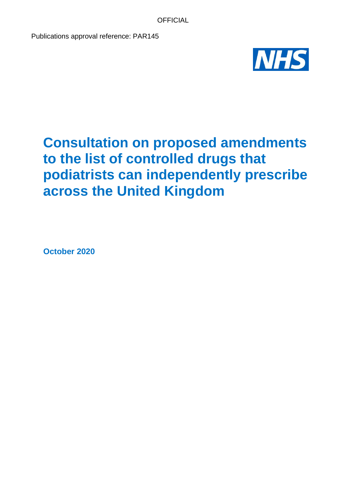Publications approval reference: PAR145



# **Consultation on proposed amendments to the list of controlled drugs that podiatrists can independently prescribe across the United Kingdom**

**October 2020**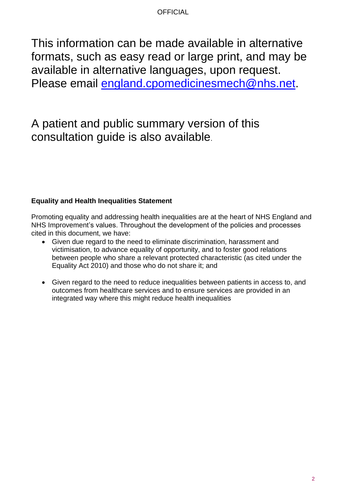This information can be made available in alternative formats, such as easy read or large print, and may be available in alternative languages, upon request. Please email [england.cpomedicinesmech@nhs.net.](mailto:england.cpomedicinesmech@nhs.net)

# A patient and public summary version of this consultation guide is also available.

### **Equality and Health Inequalities Statement**

Promoting equality and addressing health inequalities are at the heart of NHS England and NHS Improvement's values. Throughout the development of the policies and processes cited in this document, we have:

- Given due regard to the need to eliminate discrimination, harassment and victimisation, to advance equality of opportunity, and to foster good relations between people who share a relevant protected characteristic (as cited under the Equality Act 2010) and those who do not share it; and
- Given regard to the need to reduce inequalities between patients in access to, and outcomes from healthcare services and to ensure services are provided in an integrated way where this might reduce health inequalities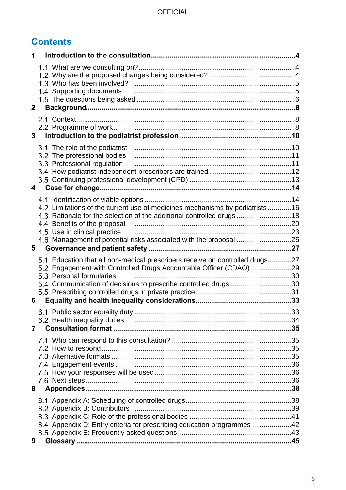## **Contents**

| 1              |                                                                                                                                                                                                                           |  |
|----------------|---------------------------------------------------------------------------------------------------------------------------------------------------------------------------------------------------------------------------|--|
| $\mathbf{2}$   |                                                                                                                                                                                                                           |  |
| 3 <sup>1</sup> |                                                                                                                                                                                                                           |  |
| 4              |                                                                                                                                                                                                                           |  |
| 5              | 4.2 Limitations of the current use of medicines mechanisms by podiatrists 16<br>4.3 Rationale for the selection of the additional controlled drugs18<br>4.6 Management of potential risks associated with the proposal 25 |  |
| 6              | 5.1 Education that all non-medical prescribers receive on controlled drugs27<br>5.2 Engagement with Controlled Drugs Accountable Officer (CDAO)29<br>5.4 Communication of decisions to prescribe controlled drugs 30      |  |
| $\mathbf{7}$   |                                                                                                                                                                                                                           |  |
| 8              |                                                                                                                                                                                                                           |  |
| 9              | 8.4 Appendix D: Entry criteria for prescribing education programmes 42                                                                                                                                                    |  |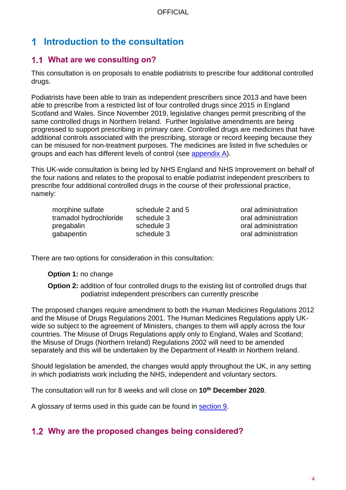## **Introduction to the consultation**

### <span id="page-3-0"></span>**What are we consulting on?**

This consultation is on proposals to enable podiatrists to prescribe four additional controlled drugs.

Podiatrists have been able to train as independent prescribers since 2013 and have been able to prescribe from a restricted list of four controlled drugs since 2015 in England Scotland and Wales. Since November 2019, legislative changes permit prescribing of the same controlled drugs in Northern Ireland. Further legislative amendments are being progressed to support prescribing in primary care. Controlled drugs are medicines that have additional controls associated with the prescribing, storage or record keeping because they can be misused for non-treatment purposes. The medicines are listed in five schedules or groups and each has different levels of control (see [appendix A\)](#page-37-1).

This UK-wide consultation is being led by NHS England and NHS Improvement on behalf of the four nations and relates to the proposal to enable podiatrist independent prescribers to prescribe four additional controlled drugs in the course of their professional practice, namely:

| morphine sulfate       | schedule 2 and |
|------------------------|----------------|
| tramadol hydrochloride | schedule 3     |
| pregabalin             | schedule 3     |
| gabapentin             | schedule 3     |

5 oral administration oral administration oral administration oral administration

There are two options for consideration in this consultation:

### **Option 1:** no change

**Option 2:** addition of four controlled drugs to the existing list of controlled drugs that podiatrist independent prescribers can currently prescribe

The proposed changes require amendment to both the Human Medicines Regulations 2012 and the Misuse of Drugs Regulations 2001. The Human Medicines Regulations apply UKwide so subject to the agreement of Ministers, changes to them will apply across the four countries. The Misuse of Drugs Regulations apply only to England, Wales and Scotland; the Misuse of Drugs (Northern Ireland) Regulations 2002 will need to be amended separately and this will be undertaken by the Department of Health in Northern Ireland.

Should legislation be amended, the changes would apply throughout the UK, in any setting in which podiatrists work including the NHS, independent and voluntary sectors.

The consultation will run for 8 weeks and will close on **10th December 2020**.

A glossary of terms used in this guide can be found in [section 9.](#page-44-0)

### <span id="page-3-1"></span>**Why are the proposed changes being considered?**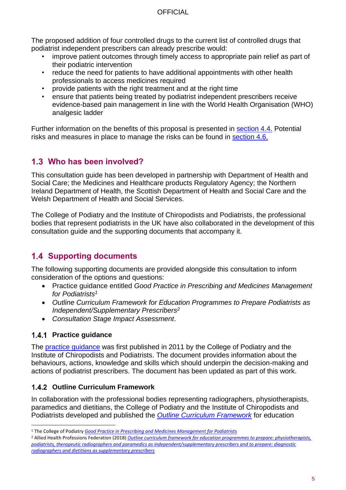The proposed addition of four controlled drugs to the current list of controlled drugs that podiatrist independent prescribers can already prescribe would:

- improve patient outcomes through timely access to appropriate pain relief as part of their podiatric intervention
- reduce the need for patients to have additional appointments with other health professionals to access medicines required
- provide patients with the right treatment and at the right time
- ensure that patients being treated by podiatrist independent prescribers receive evidence-based pain management in line with the World Health Organisation (WHO) analgesic ladder

Further information on the benefits of this proposal is presented in [section 4.4.](#page-19-1) Potential risks and measures in place to manage the risks can be found in [section 4.6.](#page-24-0)

### <span id="page-4-0"></span>**Who has been involved?**

This consultation guide has been developed in partnership with Department of Health and Social Care; the Medicines and Healthcare products Regulatory Agency; the Northern Ireland Department of Health, the Scottish Department of Health and Social Care and the Welsh Department of Health and Social Services.

The College of Podiatry and the Institute of Chiropodists and Podiatrists, the professional bodies that represent podiatrists in the UK have also collaborated in the development of this consultation guide and the supporting documents that accompany it.

### <span id="page-4-1"></span>**1.4 Supporting documents**

The following supporting documents are provided alongside this consultation to inform consideration of the options and questions:

- Practice guidance entitled *Good Practice in Prescribing and Medicines Management for Podiatrists<sup>1</sup>*
- *Outline Curriculum Framework for Education Programmes to Prepare Podiatrists as Independent/Supplementary Prescribers<sup>2</sup>*
- *Consultation Stage Impact Assessment*.

### **Practice guidance**

The [practice guidance](https://cop.org.uk/the-college/medicines) was first published in 2011 by the College of Podiatry and the Institute of Chiropodists and Podiatrists. The document provides information about the behaviours, actions, knowledge and skills which should underpin the decision-making and actions of podiatrist prescribers. The document has been updated as part of this work.

### **1.4.2 Outline Curriculum Framework**

In collaboration with the professional bodies representing radiographers, physiotherapists, paramedics and dietitians, the College of Podiatry and the Institute of Chiropodists and Podiatrists developed and published the *[Outline Curriculum Framework](http://www.ahpf.org.uk/files/Joint%20OCF%202018%20update%20College%20of%20Paramedics%20March18%20minor%20error%20corrected.pdf)* for education

<sup>1</sup> The College of Podiatry *[Good Practice in Prescribing and Medicines Management for Podiatrists](https://cop.org.uk/the-college/medicines)*

<sup>2</sup> Allied Health Professions Federation (2018) *[Outline curriculum framework for education programmes to prepare: physiotherapists,](http://www.ahpf.org.uk/files/Joint%20OCF%202018%20update%20College%20of%20Paramedics%20March18%20minor%20error%20corrected.pdf)  podiatrists, therapeutic radiographers and paramedics [as independent/supplementary prescribers and to prepare: diagnostic](http://www.ahpf.org.uk/files/Joint%20OCF%202018%20update%20College%20of%20Paramedics%20March18%20minor%20error%20corrected.pdf)  [radiographers and dietitians as supplementary prescribers](http://www.ahpf.org.uk/files/Joint%20OCF%202018%20update%20College%20of%20Paramedics%20March18%20minor%20error%20corrected.pdf)*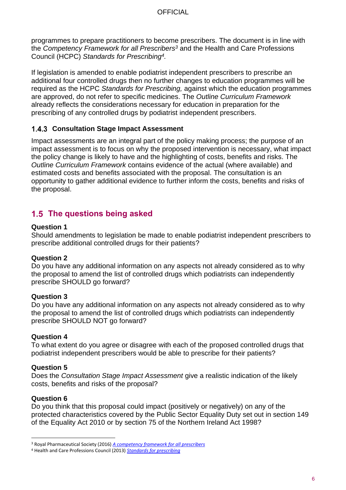programmes to prepare practitioners to become prescribers. The document is in line with the *Competency Framework for all Prescribers<sup>3</sup>* and the Health and Care Professions Council (HCPC) *Standards for Prescribing<sup>4</sup> .*

If legislation is amended to enable podiatrist independent prescribers to prescribe an additional four controlled drugs then no further changes to education programmes will be required as the HCPC *Standards for Prescribing,* against which the education programmes are approved, do not refer to specific medicines. The *Outline Curriculum Framework* already reflects the considerations necessary for education in preparation for the prescribing of any controlled drugs by podiatrist independent prescribers.

### **Consultation Stage Impact Assessment**

Impact assessments are an integral part of the policy making process; the purpose of an impact assessment is to focus on why the proposed intervention is necessary, what impact the policy change is likely to have and the highlighting of costs, benefits and risks. The *Outline Curriculum Framework* contains evidence of the actual (where available) and estimated costs and benefits associated with the proposal. The consultation is an opportunity to gather additional evidence to further inform the costs, benefits and risks of the proposal.

### <span id="page-5-0"></span>**The questions being asked**

#### **Question 1**

Should amendments to legislation be made to enable podiatrist independent prescribers to prescribe additional controlled drugs for their patients?

### **Question 2**

Do you have any additional information on any aspects not already considered as to why the proposal to amend the list of controlled drugs which podiatrists can independently prescribe SHOULD go forward?

### **Question 3**

Do you have any additional information on any aspects not already considered as to why the proposal to amend the list of controlled drugs which podiatrists can independently prescribe SHOULD NOT go forward?

### **Question 4**

To what extent do you agree or disagree with each of the proposed controlled drugs that podiatrist independent prescribers would be able to prescribe for their patients?

### **Question 5**

Does the *Consultation Stage Impact Assessment* give a realistic indication of the likely costs, benefits and risks of the proposal?

### **Question 6**

Do you think that this proposal could impact (positively or negatively) on any of the protected characteristics covered by the Public Sector Equality Duty set out in section 149 of the Equality Act 2010 or by section 75 of the Northern Ireland Act 1998?

<sup>3</sup> Royal Pharmaceutical Society (2016) *[A competency framework for all prescribers](https://www.rpharms.com/resources/frameworks/prescribers-competency-framework)*

<sup>4</sup> Health and Care Professions Council (2013) *[Standards for prescribing](https://www.hcpc-uk.org/resources/standards/standards-for-prescribing/)*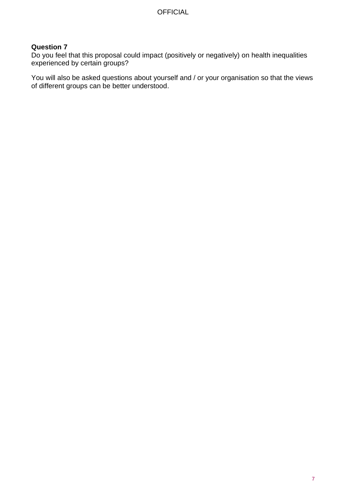### **Question 7**

Do you feel that this proposal could impact (positively or negatively) on health inequalities experienced by certain groups?

You will also be asked questions about yourself and / or your organisation so that the views of different groups can be better understood.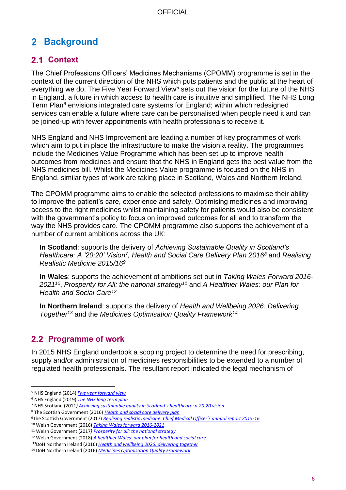## <span id="page-7-0"></span>**Background**

### <span id="page-7-1"></span>2.1 Context

The Chief Professions Officers' Medicines Mechanisms (CPOMM) programme is set in the context of the current direction of the NHS which puts patients and the public at the heart of everything we do. The Five Year Forward View<sup>5</sup> sets out the vision for the future of the NHS in England, a future in which access to health care is intuitive and simplified. The NHS Long Term Plan<sup>6</sup> envisions integrated care systems for England; within which redesigned services can enable a future where care can be personalised when people need it and can be joined-up with fewer appointments with health professionals to receive it.

NHS England and NHS Improvement are leading a number of key programmes of work which aim to put in place the infrastructure to make the vision a reality. The programmes include the Medicines Value Programme which has been set up to improve health outcomes from medicines and ensure that the NHS in England gets the best value from the NHS medicines bill. Whilst the Medicines Value programme is focused on the NHS in England, similar types of work are taking place in Scotland, Wales and Northern Ireland.

The CPOMM programme aims to enable the selected professions to maximise their ability to improve the patient's care, experience and safety. Optimising medicines and improving access to the right medicines whilst maintaining safety for patients would also be consistent with the government's policy to focus on improved outcomes for all and to transform the way the NHS provides care. The CPOMM programme also supports the achievement of a number of current ambitions across the UK:

**In Scotland**: supports the delivery of *Achieving Sustainable Quality in Scotland's Healthcare: A '20:20' Vision*<sup>7</sup> *, Health and Social Care Delivery Plan 2016<sup>8</sup>* and *Realising Realistic Medicine 2015/16<sup>9</sup>*

**In Wales**: supports the achievement of ambitions set out in *Taking Wales Forward 2016- 2021<sup>10</sup>* , *Prosperity for All: the national strategy<sup>11</sup>* and *A Healthier Wales: our Plan for Health and Social Care<sup>12</sup>*

**In Northern Ireland**: supports the delivery of *Health and Wellbeing 2026: Delivering Together<sup>13</sup>* and the *Medicines Optimisation Quality Framework<sup>14</sup>*

### <span id="page-7-2"></span>**2.2 Programme of work**

In 2015 NHS England undertook a scoping project to determine the need for prescribing, supply and/or administration of medicines responsibilities to be extended to a number of regulated health professionals. The resultant report indicated the legal mechanism of

<sup>5</sup> NHS England (2014) *[Five year forward view](https://www.england.nhs.uk/wp-content/uploads/2014/10/5yfv-web.pdf)*

<sup>6</sup> NHS England (2019) *[The NHS long term plan](https://www.longtermplan.nhs.uk/)*

<sup>7</sup> NHS Scotland (2011*) [Achieving sustainable quality in Scotland's healthcare: a](http://www.nhshighland.scot.nhs.uk/Meetings/MidHighland/Documents/20.2%20%20%20%20Achieving%20Sustainable%20Quality%20in%20Scotland%27s%20Healthcare%20-%20A%20%2720_20%27%20Vision.pdf) 20:20 vision*

<sup>8</sup> The Scottish Government (2016) *[Health and social care delivery plan](https://www.gov.scot/publications/health-social-care-delivery-plan)*

<sup>9</sup>The Scottish Government (2017) *[Realising realistic medicine: Chief Medical Officer's annual report 2015](https://www.gov.scot/publications/chief-medical-officer-scotland-annual-report-2015-16-realising-realistic-9781786526731/)-16*

<sup>10</sup> Welsh Government (2016) *[Taking Wales forward 2016-2021](https://beta.gov.wales/taking-wales-forward)*

<sup>11</sup> Welsh Government (2017*) [Prosperity for all: the national strategy](https://beta.gov.wales/prosperity-all-national-strategy)*

<sup>12</sup> Welsh Government (2018) *[A healthier Wales: our plan for health and social care](https://gov.wales/docs/dhss/publications/180608healthier-wales-mainen.pdf)*

<sup>13</sup>DoH Northern Ireland (2016) *[Health and wellbeing 2026: delivering together](https://www.health-ni.gov.uk/publications/health-and-wellbeing-2026-delivering-together)*

<sup>14</sup> DoH Northern Ireland (2016) *[Medicines Optimisation Quality Framework](http://www.health-ni.gov.uk/consultations/medicines-optimisation-quality-framework)*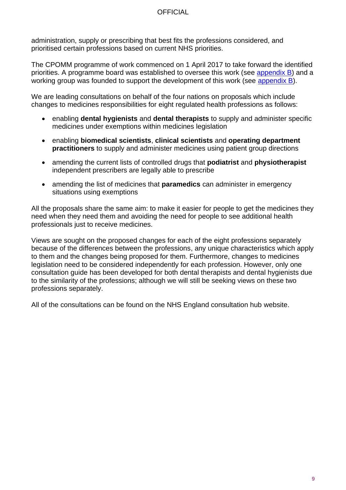administration, supply or prescribing that best fits the professions considered, and prioritised certain professions based on current NHS priorities.

The CPOMM programme of work commenced on 1 April 2017 to take forward the identified priorities. A programme board was established to oversee this work (see [appendix B](#page-38-1)) and a working group was founded to support the development of this work (see [appendix B](#page-39-0)).

We are leading consultations on behalf of the four nations on proposals which include changes to medicines responsibilities for eight regulated health professions as follows:

- enabling **dental hygienists** and **dental therapists** to supply and administer specific medicines under exemptions within medicines legislation
- enabling **biomedical scientists**, **clinical scientists** and **operating department practitioners** to supply and administer medicines using patient group directions
- amending the current lists of controlled drugs that **podiatrist** and **physiotherapist** independent prescribers are legally able to prescribe
- amending the list of medicines that **paramedics** can administer in emergency situations using exemptions

All the proposals share the same aim: to make it easier for people to get the medicines they need when they need them and avoiding the need for people to see additional health professionals just to receive medicines.

Views are sought on the proposed changes for each of the eight professions separately because of the differences between the professions, any unique characteristics which apply to them and the changes being proposed for them. Furthermore, changes to medicines legislation need to be considered independently for each profession. However, only one consultation guide has been developed for both dental therapists and dental hygienists due to the similarity of the professions; although we will still be seeking views on these two professions separately.

All of the consultations can be found on the NHS England consultation hub website.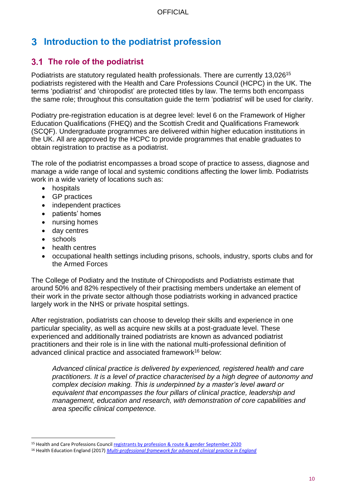## **Introduction to the podiatrist profession**

### <span id="page-9-0"></span>**The role of the podiatrist**

Podiatrists are statutory regulated health professionals. There are currently 13,026<sup>15</sup> podiatrists registered with the Health and Care Professions Council (HCPC) in the UK. The terms 'podiatrist' and 'chiropodist' are protected titles by law. The terms both encompass the same role; throughout this consultation guide the term 'podiatrist' will be used for clarity.

Podiatry pre-registration education is at degree level: level 6 on the Framework of Higher Education Qualifications (FHEQ) and the Scottish Credit and Qualifications Framework (SCQF). Undergraduate programmes are delivered within higher education institutions in the UK. All are approved by the HCPC to provide programmes that enable graduates to obtain registration to practise as a podiatrist.

The role of the podiatrist encompasses a broad scope of practice to assess, diagnose and manage a wide range of local and systemic conditions affecting the lower limb. Podiatrists work in a wide variety of locations such as:

- hospitals
- GP practices
- independent practices
- patients' homes
- nursing homes
- day centres
- schools
- health centres
- occupational health settings including prisons, schools, industry, sports clubs and for the Armed Forces

The College of Podiatry and the Institute of Chiropodists and Podiatrists estimate that around 50% and 82% respectively of their practising members undertake an element of their work in the private sector although those podiatrists working in advanced practice largely work in the NHS or private hospital settings.

After registration, podiatrists can choose to develop their skills and experience in one particular speciality, as well as acquire new skills at a post-graduate level. These experienced and additionally trained podiatrists are known as advanced podiatrist practitioners and their role is in line with the national multi-professional definition of advanced clinical practice and associated framework<sup>16</sup> below:

*Advanced clinical practice is delivered by experienced, registered health and care practitioners. It is a level of practice characterised by a high degree of autonomy and complex decision making. This is underpinned by a master's level award or equivalent that encompasses the four pillars of clinical practice, leadership and management, education and research, with demonstration of core capabilities and area specific clinical competence.*

<sup>15</sup> Health and Care Professions Council [registrants by profession & route & gender September 2020](https://www.hcpc-uk.org/about-us/insights-and-data/the-register/registrant-snapshot-1-sep-2020/)

<sup>16</sup> Health Education England (2017) *[Multi-professional framework for advanced clinical practice in England](https://www.hee.nhs.uk/sites/default/files/documents/Multi-professional%20framework%20for%20advanced%20clinical%20practice%20in%20England.pdf)*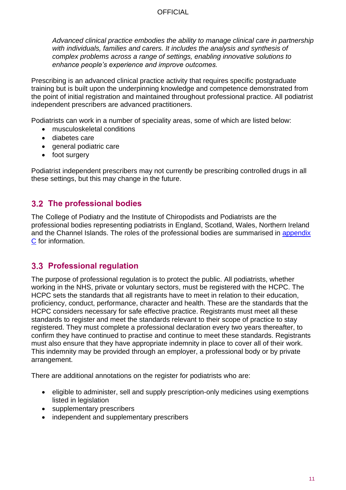*Advanced clinical practice embodies the ability to manage clinical care in partnership with individuals, families and carers. It includes the analysis and synthesis of complex problems across a range of settings, enabling innovative solutions to enhance people's experience and improve outcomes.*

Prescribing is an advanced clinical practice activity that requires specific postgraduate training but is built upon the underpinning knowledge and competence demonstrated from the point of initial registration and maintained throughout professional practice. All podiatrist independent prescribers are advanced practitioners.

Podiatrists can work in a number of speciality areas, some of which are listed below:

- musculoskeletal conditions
- diabetes care
- general podiatric care
- foot surgery

Podiatrist independent prescribers may not currently be prescribing controlled drugs in all these settings, but this may change in the future.

### <span id="page-10-0"></span>**The professional bodies**

The College of Podiatry and the Institute of Chiropodists and Podiatrists are the professional bodies representing podiatrists in England, Scotland, Wales, Northern Ireland and the Channel Islands. The roles of the professional bodies are summarised in [appendix](#page-40-0)  [C](#page-40-0) for information.

### <span id="page-10-1"></span>**Professional regulation**

The purpose of professional regulation is to protect the public. All podiatrists, whether working in the NHS, private or voluntary sectors, must be registered with the HCPC. The HCPC sets the standards that all registrants have to meet in relation to their education, proficiency, conduct, performance, character and health. These are the standards that the HCPC considers necessary for safe effective practice. Registrants must meet all these standards to register and meet the standards relevant to their scope of practice to stay registered. They must complete a professional declaration every two years thereafter, to confirm they have continued to practise and continue to meet these standards. Registrants must also ensure that they have appropriate indemnity in place to cover all of their work. This indemnity may be provided through an employer, a professional body or by private arrangement.

There are additional annotations on the register for podiatrists who are:

- eligible to administer, sell and supply prescription-only medicines using exemptions listed in legislation
- supplementary prescribers
- independent and supplementary prescribers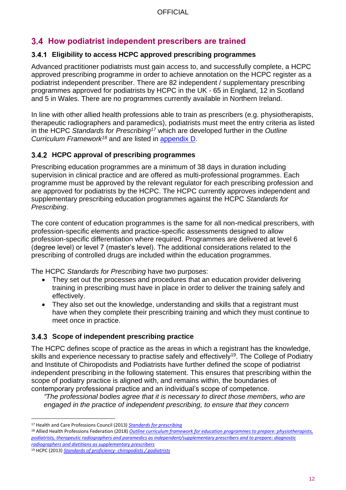### <span id="page-11-0"></span>**How podiatrist independent prescribers are trained**

### **Eligibility to access HCPC approved prescribing programmes**

Advanced practitioner podiatrists must gain access to, and successfully complete, a HCPC approved prescribing programme in order to achieve annotation on the HCPC register as a podiatrist independent prescriber. There are 82 independent / supplementary prescribing programmes approved for podiatrists by HCPC in the UK - 65 in England, 12 in Scotland and 5 in Wales. There are no programmes currently available in Northern Ireland.

In line with other allied health professions able to train as prescribers (e.g. physiotherapists, therapeutic radiographers and paramedics), podiatrists must meet the entry criteria as listed in the HCPC *Standards for Prescribing<sup>17</sup>* which are developed further in the *Outline Curriculum Framework<sup>18</sup>* and are listed in [appendix D.](#page-41-0)

### **HCPC approval of prescribing programmes**

Prescribing education programmes are a minimum of 38 days in duration including supervision in clinical practice and are offered as multi-professional programmes. Each programme must be approved by the relevant regulator for each prescribing profession and are approved for podiatrists by the HCPC. The HCPC currently approves independent and supplementary prescribing education programmes against the HCPC *Standards for Prescribing*.

The core content of education programmes is the same for all non-medical prescribers, with profession-specific elements and practice-specific assessments designed to allow profession-specific differentiation where required. Programmes are delivered at level 6 (degree level) or level 7 (master's level). The additional considerations related to the prescribing of controlled drugs are included within the education programmes.

The HCPC *Standards for Prescribing* have two purposes:

- They set out the processes and procedures that an education provider delivering training in prescribing must have in place in order to deliver the training safely and effectively.
- They also set out the knowledge, understanding and skills that a registrant must have when they complete their prescribing training and which they must continue to meet once in practice.

### **Scope of independent prescribing practice**

The HCPC defines scope of practice as the areas in which a registrant has the knowledge, skills and experience necessary to practise safely and effectively<sup>19</sup>. The College of Podiatry and Institute of Chiropodists and Podiatrists have further defined the scope of podiatrist independent prescribing in the following statement. This ensures that prescribing within the scope of podiatry practice is aligned with, and remains within, the boundaries of contemporary professional practice and an individual's scope of competence.

*"The professional bodies agree that it is necessary to direct those members, who are engaged in the practice of independent prescribing, to ensure that they concern* 

<sup>17</sup> Health and Care Professions Council (2013) *[Standards for prescribing](https://www.hcpc-uk.org/resources/standards/standards-for-prescribing/)*

<sup>18</sup> Allied Health Professions Federation (2018) *[Outline curriculum framework for education programmes to prepare: physiotherapists,](http://www.ahpf.org.uk/files/Joint%20OCF%202018%20update%20College%20of%20Paramedics%20March18%20minor%20error%20corrected.pdf)  podiatrists, therapeutic radiographers and paramedics [as independent/supplementary prescribers and to prepare: diagnostic](http://www.ahpf.org.uk/files/Joint%20OCF%202018%20update%20College%20of%20Paramedics%20March18%20minor%20error%20corrected.pdf)  [radiographers and dietitians as supplementary prescribers](http://www.ahpf.org.uk/files/Joint%20OCF%202018%20update%20College%20of%20Paramedics%20March18%20minor%20error%20corrected.pdf)*

<sup>19</sup> HCPC (2013) *[Standards of proficiency-](http://www.hcpc-uk.org/publications/standards/index.asp?id=41) chiropodists / podiatrists*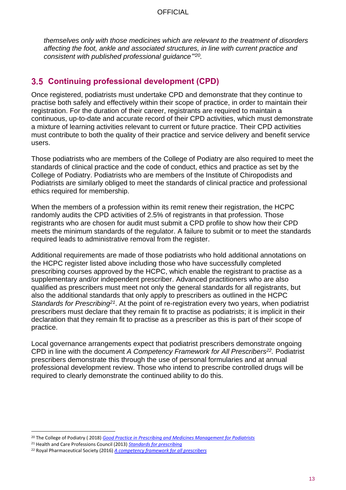*themselves only with those medicines which are relevant to the treatment of disorders affecting the foot, ankle and associated structures, in line with current practice and consistent with published professional guidance"' 20 .*

### <span id="page-12-0"></span>**Continuing professional development (CPD)**

Once registered, podiatrists must undertake CPD and demonstrate that they continue to practise both safely and effectively within their scope of practice, in order to maintain their registration. For the duration of their career, registrants are required to maintain a continuous, up-to-date and accurate record of their CPD activities, which must demonstrate a mixture of learning activities relevant to current or future practice. Their CPD activities must contribute to both the quality of their practice and service delivery and benefit service users.

Those podiatrists who are members of the College of Podiatry are also required to meet the standards of clinical practice and the code of conduct, ethics and practice as set by the College of Podiatry. Podiatrists who are members of the Institute of Chiropodists and Podiatrists are similarly obliged to meet the standards of clinical practice and professional ethics required for membership.

When the members of a profession within its remit renew their registration, the HCPC randomly audits the CPD activities of 2.5% of registrants in that profession. Those registrants who are chosen for audit must submit a CPD profile to show how their CPD meets the minimum standards of the regulator. A failure to submit or to meet the standards required leads to administrative removal from the register.

Additional requirements are made of those podiatrists who hold additional annotations on the HCPC register listed above including those who have successfully completed prescribing courses approved by the HCPC, which enable the registrant to practise as a supplementary and/or independent prescriber. Advanced practitioners who are also qualified as prescribers must meet not only the general standards for all registrants, but also the additional standards that only apply to prescribers as outlined in the HCPC Standards for Prescribing<sup>21</sup>. At the point of re-registration every two years, when podiatrist prescribers must declare that they remain fit to practise as podiatrists; it is implicit in their declaration that they remain fit to practise as a prescriber as this is part of their scope of practice.

Local governance arrangements expect that podiatrist prescribers demonstrate ongoing CPD in line with the document *A Competency Framework for All Prescribers<sup>22</sup> .* Podiatrist prescribers demonstrate this through the use of personal formularies and at annual professional development review. Those who intend to prescribe controlled drugs will be required to clearly demonstrate the continued ability to do this.

<sup>20</sup> The College of Podiatry ( 2018) *[Good Practice in Prescribing and Medicines Management for Podiatrists](https://cop.org.uk/EasySiteWeb/GatewayLink.aspx?alId=54512)*

<sup>21</sup> Health and Care Professions Council (2013) *[Standards for prescribing](https://www.hcpc-uk.org/resources/standards/standards-for-prescribing/)*

<sup>22</sup> Royal Pharmaceutical Society (2016) *[A competency framework for all prescribers](https://www.rpharms.com/resources/frameworks/prescribers-competency-framework)*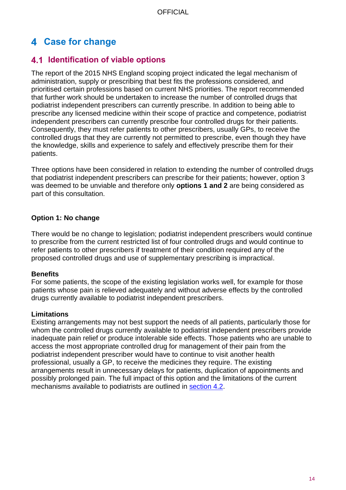### <span id="page-13-0"></span>**Case for change**

### <span id="page-13-1"></span>**Identification of viable options**

The report of the 2015 NHS England scoping project indicated the legal mechanism of administration, supply or prescribing that best fits the professions considered, and prioritised certain professions based on current NHS priorities. The report recommended that further work should be undertaken to increase the number of controlled drugs that podiatrist independent prescribers can currently prescribe. In addition to being able to prescribe any licensed medicine within their scope of practice and competence, podiatrist independent prescribers can currently prescribe four controlled drugs for their patients. Consequently, they must refer patients to other prescribers, usually GPs, to receive the controlled drugs that they are currently not permitted to prescribe, even though they have the knowledge, skills and experience to safely and effectively prescribe them for their patients.

Three options have been considered in relation to extending the number of controlled drugs that podiatrist independent prescribers can prescribe for their patients; however, option 3 was deemed to be unviable and therefore only **options 1 and 2** are being considered as part of this consultation.

### **Option 1: No change**

There would be no change to legislation; podiatrist independent prescribers would continue to prescribe from the current restricted list of four controlled drugs and would continue to refer patients to other prescribers if treatment of their condition required any of the proposed controlled drugs and use of supplementary prescribing is impractical.

### **Benefits**

For some patients, the scope of the existing legislation works well, for example for those patients whose pain is relieved adequately and without adverse effects by the controlled drugs currently available to podiatrist independent prescribers.

### **Limitations**

Existing arrangements may not best support the needs of all patients, particularly those for whom the controlled drugs currently available to podiatrist independent prescribers provide inadequate pain relief or produce intolerable side effects. Those patients who are unable to access the most appropriate controlled drug for management of their pain from the podiatrist independent prescriber would have to continue to visit another health professional, usually a GP, to receive the medicines they require. The existing arrangements result in unnecessary delays for patients, duplication of appointments and possibly prolonged pain. The full impact of this option and the limitations of the current mechanisms available to podiatrists are outlined in [section 4.2.](#page-14-0)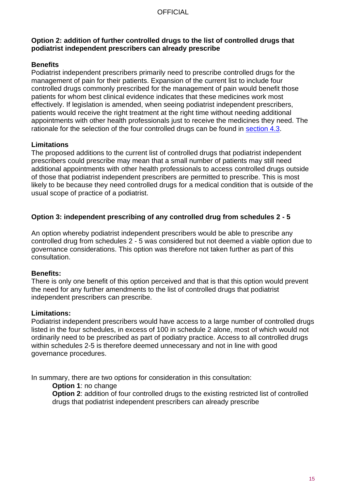#### **Option 2: addition of further controlled drugs to the list of controlled drugs that podiatrist independent prescribers can already prescribe**

#### **Benefits**

Podiatrist independent prescribers primarily need to prescribe controlled drugs for the management of pain for their patients. Expansion of the current list to include four controlled drugs commonly prescribed for the management of pain would benefit those patients for whom best clinical evidence indicates that these medicines work most effectively. If legislation is amended, when seeing podiatrist independent prescribers, patients would receive the right treatment at the right time without needing additional appointments with other health professionals just to receive the medicines they need. The rationale for the selection of the four controlled drugs can be found in [section 4.3](#page-17-0).

#### **Limitations**

The proposed additions to the current list of controlled drugs that podiatrist independent prescribers could prescribe may mean that a small number of patients may still need additional appointments with other health professionals to access controlled drugs outside of those that podiatrist independent prescribers are permitted to prescribe. This is most likely to be because they need controlled drugs for a medical condition that is outside of the usual scope of practice of a podiatrist.

### **Option 3: independent prescribing of any controlled drug from schedules 2 - 5**

An option whereby podiatrist independent prescribers would be able to prescribe any controlled drug from schedules 2 - 5 was considered but not deemed a viable option due to governance considerations. This option was therefore not taken further as part of this consultation.

### **Benefits:**

There is only one benefit of this option perceived and that is that this option would prevent the need for any further amendments to the list of controlled drugs that podiatrist independent prescribers can prescribe.

#### **Limitations:**

Podiatrist independent prescribers would have access to a large number of controlled drugs listed in the four schedules, in excess of 100 in schedule 2 alone, most of which would not ordinarily need to be prescribed as part of podiatry practice. Access to all controlled drugs within schedules 2-5 is therefore deemed unnecessary and not in line with good governance procedures.

In summary, there are two options for consideration in this consultation:

**Option 1**: no change

<span id="page-14-0"></span>**Option 2:** addition of four controlled drugs to the existing restricted list of controlled drugs that podiatrist independent prescribers can already prescribe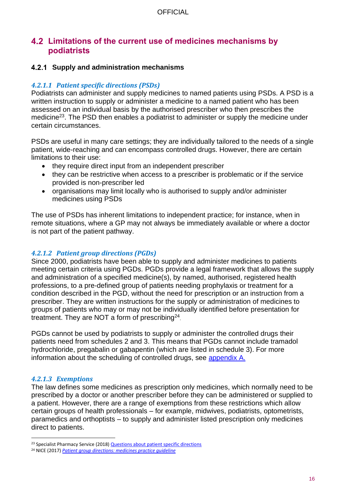### <span id="page-15-0"></span>**Limitations of the current use of medicines mechanisms by podiatrists**

#### **Supply and administration mechanisms**

#### *4.2.1.1 Patient specific directions (PSDs)*

Podiatrists can administer and supply medicines to named patients using PSDs. A PSD is a written instruction to supply or administer a medicine to a named patient who has been assessed on an individual basis by the authorised prescriber who then prescribes the medicine<sup>23</sup>. The PSD then enables a podiatrist to administer or supply the medicine under certain circumstances.

PSDs are useful in many care settings; they are individually tailored to the needs of a single patient, wide-reaching and can encompass controlled drugs. However, there are certain limitations to their use:

- they require direct input from an independent prescriber
- they can be restrictive when access to a prescriber is problematic or if the service provided is non-prescriber led
- organisations may limit locally who is authorised to supply and/or administer medicines using PSDs

The use of PSDs has inherent limitations to independent practice; for instance, when in remote situations, where a GP may not always be immediately available or where a doctor is not part of the patient pathway.

### *4.2.1.2 Patient group directions (PGDs)*

Since 2000, podiatrists have been able to supply and administer medicines to patients meeting certain criteria using PGDs. PGDs provide a legal framework that allows the supply and administration of a specified medicine(s), by named, authorised, registered health professions, to a pre-defined group of patients needing prophylaxis or treatment for a condition described in the PGD, without the need for prescription or an instruction from a prescriber. They are written instructions for the supply or administration of medicines to groups of patients who may or may not be individually identified before presentation for treatment. They are NOT a form of prescribing $^{24}$ .

PGDs cannot be used by podiatrists to supply or administer the controlled drugs their patients need from schedules 2 and 3. This means that PGDs cannot include tramadol hydrochloride, pregabalin or gabapentin (which are listed in schedule 3). For more information about the scheduling of controlled drugs, see [appendix A.](#page-37-1)

### *4.2.1.3 Exemptions*

The law defines some medicines as prescription only medicines, which normally need to be prescribed by a doctor or another prescriber before they can be administered or supplied to a patient. However, there are a range of exemptions from these restrictions which allow certain groups of health professionals – for example, midwives, podiatrists, optometrists, paramedics and orthoptists – to supply and administer listed prescription only medicines direct to patients.

<sup>&</sup>lt;sup>23</sup> Specialist Pharmacy Service (2018[\) Questions about patient specific directions](https://www.sps.nhs.uk/articles/patient-specific-directions-qa/)

<sup>24</sup> NICE (2017) *[Patient group directions: medicines practice guideline](https://www.nice.org.uk/guidance/mpg2)*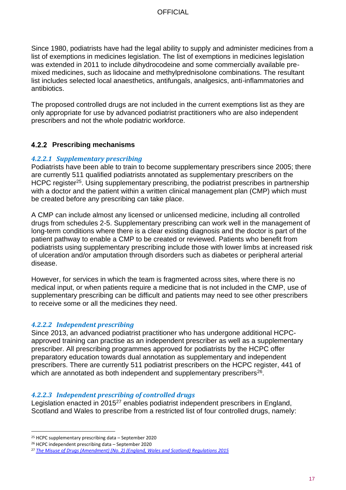Since 1980, podiatrists have had the legal ability to supply and administer medicines from a list of exemptions in medicines legislation. The list of exemptions in medicines legislation was extended in 2011 to include dihydrocodeine and some commercially available premixed medicines, such as lidocaine and methylprednisolone combinations. The resultant list includes selected local anaesthetics, antifungals, analgesics, anti-inflammatories and antibiotics.

The proposed controlled drugs are not included in the current exemptions list as they are only appropriate for use by advanced podiatrist practitioners who are also independent prescribers and not the whole podiatric workforce.

### **Prescribing mechanisms**

#### *4.2.2.1 Supplementary prescribing*

Podiatrists have been able to train to become supplementary prescribers since 2005; there are currently 511 qualified podiatrists annotated as supplementary prescribers on the HCPC register<sup>25</sup>. Using supplementary prescribing, the podiatrist prescribes in partnership with a doctor and the patient within a written clinical management plan (CMP) which must be created before any prescribing can take place.

A CMP can include almost any licensed or unlicensed medicine, including all controlled drugs from schedules 2-5. Supplementary prescribing can work well in the management of long-term conditions where there is a clear existing diagnosis and the doctor is part of the patient pathway to enable a CMP to be created or reviewed. Patients who benefit from podiatrists using supplementary prescribing include those with lower limbs at increased risk of ulceration and/or amputation through disorders such as diabetes or peripheral arterial disease.

However, for services in which the team is fragmented across sites, where there is no medical input, or when patients require a medicine that is not included in the CMP, use of supplementary prescribing can be difficult and patients may need to see other prescribers to receive some or all the medicines they need.

#### *4.2.2.2 Independent prescribing*

Since 2013, an advanced podiatrist practitioner who has undergone additional HCPCapproved training can practise as an independent prescriber as well as a supplementary prescriber. All prescribing programmes approved for podiatrists by the HCPC offer preparatory education towards dual annotation as supplementary and independent prescribers. There are currently 511 podiatrist prescribers on the HCPC register, 441 of which are annotated as both independent and supplementary prescribers $26$ .

#### *4.2.2.3 Independent prescribing of controlled drugs*

Legislation enacted in 2015<sup>27</sup> enables podiatrist independent prescribers in England, Scotland and Wales to prescribe from a restricted list of four controlled drugs, namely:

<sup>25</sup> HCPC supplementary prescribing data – September 2020

<sup>26</sup> HCPC independent prescribing data – September 2020

<sup>27</sup> *[The Misuse of Drugs \(Amendment\) \(No. 2\) \(England, Wales and Scotland\) Regulations 2015](http://www.legislation.gov.uk/uksi/2015/891/pdfs/uksi_20150891_en.pdf)*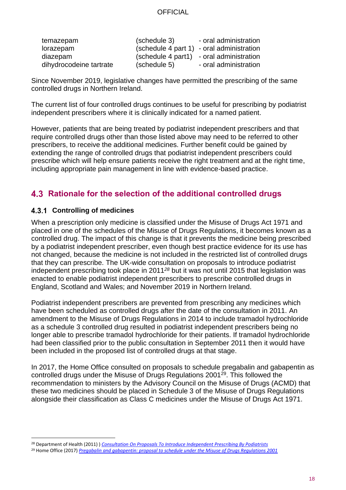| temazepam               | (schedule 3) | - oral administration                     |
|-------------------------|--------------|-------------------------------------------|
| lorazepam               |              | (schedule 4 part 1) - oral administration |
| diazepam                |              | (schedule 4 part1) - oral administration  |
| dihydrocodeine tartrate | (schedule 5) | - oral administration                     |

Since November 2019, legislative changes have permitted the prescribing of the same controlled drugs in Northern Ireland.

The current list of four controlled drugs continues to be useful for prescribing by podiatrist independent prescribers where it is clinically indicated for a named patient.

However, patients that are being treated by podiatrist independent prescribers and that require controlled drugs other than those listed above may need to be referred to other prescribers, to receive the additional medicines. Further benefit could be gained by extending the range of controlled drugs that podiatrist independent prescribers could prescribe which will help ensure patients receive the right treatment and at the right time, including appropriate pain management in line with evidence-based practice.

### <span id="page-17-0"></span>**Rationale for the selection of the additional controlled drugs**

### **Controlling of medicines**

When a prescription only medicine is classified under the Misuse of Drugs Act 1971 and placed in one of the schedules of the Misuse of Drugs Regulations, it becomes known as a controlled drug. The impact of this change is that it prevents the medicine being prescribed by a podiatrist independent prescriber, even though best practice evidence for its use has not changed, because the medicine is not included in the restricted list of controlled drugs that they can prescribe. The UK-wide consultation on proposals to introduce podiatrist independent prescribing took place in 2011*<sup>28</sup>* but it was not until 2015 that legislation was enacted to enable podiatrist independent prescribers to prescribe controlled drugs in England, Scotland and Wales; and November 2019 in Northern Ireland.

Podiatrist independent prescribers are prevented from prescribing any medicines which have been scheduled as controlled drugs after the date of the consultation in 2011. An amendment to the Misuse of Drugs Regulations in 2014 to include tramadol hydrochloride as a schedule 3 controlled drug resulted in podiatrist independent prescribers being no longer able to prescribe tramadol hydrochloride for their patients. If tramadol hydrochloride had been classified prior to the public consultation in September 2011 then it would have been included in the proposed list of controlled drugs at that stage.

In 2017, the Home Office consulted on proposals to schedule pregabalin and gabapentin as controlled drugs under the Misuse of Drugs Regulations 2001<sup>29</sup>. This followed the recommendation to ministers by the Advisory Council on the Misuse of Drugs (ACMD) that these two medicines should be placed in Schedule 3 of the Misuse of Drugs Regulations alongside their classification as Class C medicines under the Misuse of Drugs Act 1971.

<sup>28</sup> Department of Health (2011) ) *[Consultation On Proposals To Introduce Independent Prescribing By Podiatrists](https://consultations.dh.gov.uk/cno-ahp/podiatrists-prescribing/supporting_documents/OnlineConsultation_Podiatrists_Nov11_acc2.pdf)*

<sup>29</sup> Home Office (2017) *[Pregabalin and gabapentin: proposal to schedule under the Misuse of Drugs Regulations 2001](https://www.gov.uk/government/consultations/pregabalin-and-gabapentin-proposal-to-schedule-under-the-misuse-of-drugs-regulations-2001)*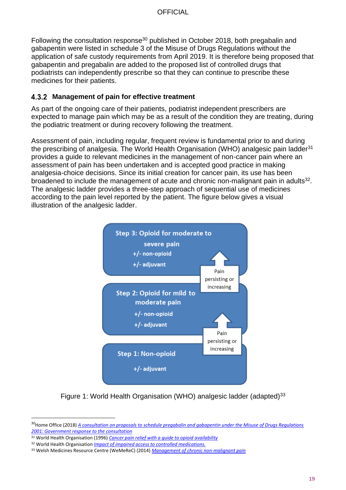Following the consultation response<sup>30</sup> published in October 2018, both pregabalin and gabapentin were listed in schedule 3 of the Misuse of Drugs Regulations without the application of safe custody requirements from April 2019. It is therefore being proposed that gabapentin and pregabalin are added to the proposed list of controlled drugs that podiatrists can independently prescribe so that they can continue to prescribe these medicines for their patients.

#### **Management of pain for effective treatment**

As part of the ongoing care of their patients, podiatrist independent prescribers are expected to manage pain which may be as a result of the condition they are treating, during the podiatric treatment or during recovery following the treatment.

Assessment of pain, including regular, frequent review is fundamental prior to and during the prescribing of analgesia. The World Health Organisation (WHO) analgesic pain ladder<sup>31</sup> provides a guide to relevant medicines in the management of non-cancer pain where an assessment of pain has been undertaken and is accepted good practice in making analgesia-choice decisions. Since its initial creation for cancer pain, its use has been broadened to include the management of acute and chronic non-malignant pain in adults<sup>32</sup>. The analgesic ladder provides a three-step approach of sequential use of medicines according to the pain level reported by the patient. The figure below gives a visual illustration of the analgesic ladder.



Figure 1: World Health Organisation (WHO) analgesic ladder (adapted)<sup>33</sup>

<sup>30</sup>Home Office (2018) *[A consultation on proposals to schedule pregabalin and gabapentin under the Misuse of Drugs Regulations](https://assets.publishing.service.gov.uk/government/uploads/system/uploads/attachment_data/file/748439/consultation-response-pregabalin-gabapentin.pdf)  [2001: Government response to the consultation](https://assets.publishing.service.gov.uk/government/uploads/system/uploads/attachment_data/file/748439/consultation-response-pregabalin-gabapentin.pdf)*

<sup>31</sup> World Health Organisation (1996) *[Cancer pain relief with a guide to opioid availability](http://apps.who.int/bookorders/anglais/detart1.jsp?codlan=1&codcol=15&codcch=2247)*

<sup>32</sup> World Health Organisation *[Impact of impaired access to controlled medications.](http://www.who.int/medicines/areas/quality_safety/Impaired_Access/en/)*

<sup>33</sup> Welsh Medicines Resource Centre (WeMeReC) (2014) *[Management of chronic non-malignant pain](https://www.wemerec.org/Documents/Bulletins/ChronicPainBulletin2014Online.pdf)*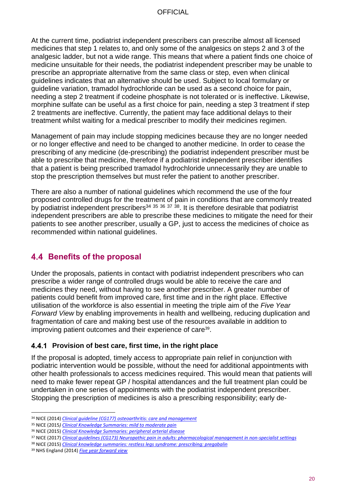At the current time, podiatrist independent prescribers can prescribe almost all licensed medicines that step 1 relates to, and only some of the analgesics on steps 2 and 3 of the analgesic ladder, but not a wide range. This means that where a patient finds one choice of medicine unsuitable for their needs, the podiatrist independent prescriber may be unable to prescribe an appropriate alternative from the same class or step, even when clinical guidelines indicates that an alternative should be used. Subject to local formulary or guideline variation, tramadol hydrochloride can be used as a second choice for pain, needing a step 2 treatment if codeine phosphate is not tolerated or is ineffective. Likewise, morphine sulfate can be useful as a first choice for pain, needing a step 3 treatment if step 2 treatments are ineffective. Currently, the patient may face additional delays to their treatment whilst waiting for a medical prescriber to modify their medicines regimen.

Management of pain may include stopping medicines because they are no longer needed or no longer effective and need to be changed to another medicine. In order to cease the prescribing of any medicine (de-prescribing) the podiatrist independent prescriber must be able to prescribe that medicine, therefore if a podiatrist independent prescriber identifies that a patient is being prescribed tramadol hydrochloride unnecessarily they are unable to stop the prescription themselves but must refer the patient to another prescriber.

There are also a number of national guidelines which recommend the use of the four proposed controlled drugs for the treatment of pain in conditions that are commonly treated by podiatrist independent prescribers<sup>34 35 36 37 38</sup>. It is therefore desirable that podiatrist independent prescribers are able to prescribe these medicines to mitigate the need for their patients to see another prescriber, usually a GP, just to access the medicines of choice as recommended within national guidelines.

### <span id="page-19-1"></span><span id="page-19-0"></span>**Benefits of the proposal**

Under the proposals, patients in contact with podiatrist independent prescribers who can prescribe a wider range of controlled drugs would be able to receive the care and medicines they need, without having to see another prescriber. A greater number of patients could benefit from improved care, first time and in the right place. Effective utilisation of the workforce is also essential in meeting the triple aim of the *Five Year Forward View* by enabling improvements in health and wellbeing, reducing duplication and fragmentation of care and making best use of the resources available in addition to improving patient outcomes and their experience of care<sup>39</sup>.

### **Provision of best care, first time, in the right place**

If the proposal is adopted, timely access to appropriate pain relief in conjunction with podiatric intervention would be possible, without the need for additional appointments with other health professionals to access medicines required. This would mean that patients will need to make fewer repeat GP / hospital attendances and the full treatment plan could be undertaken in one series of appointments with the podiatrist independent prescriber. Stopping the prescription of medicines is also a prescribing responsibility; early de-

<sup>34</sup> NICE (2014) *[Clinical guideline \(CG177\) osteoarthritis: care and management](https://www.nice.org.uk/guidance/cg177)*

<sup>35</sup> NICE (2015*) [Clinical Knowledge Summaries: mild to moderate pain](https://cks.nice.org.uk/analgesia-mild-to-moderate-pain)*

<sup>36</sup> NICE (2015) *[Clinical Knowledge Summaries: peripheral arterial disease](https://cks.nice.org.uk/peripheral-arterial-disease)*

<sup>37</sup> NICE (2017) *[Clinical guidelines \(CG173\) Neuropathic pain in adults: pharmacological management in non-specialist settings](http://www.nice.org.uk/guidance/cg173/chapter/Introduction)*

<sup>38</sup> NICE (2015) *[Clinical knowledge summaries: restless legs syndrome: prescribing: pregabalin](https://cks.nice.org.uk/restless-legs-syndrome#!topicSummary)*

<sup>39</sup> NHS England (2014) *[Five year forward view](https://www.england.nhs.uk/wp-content/uploads/2014/10/5yfv-web.pdf)*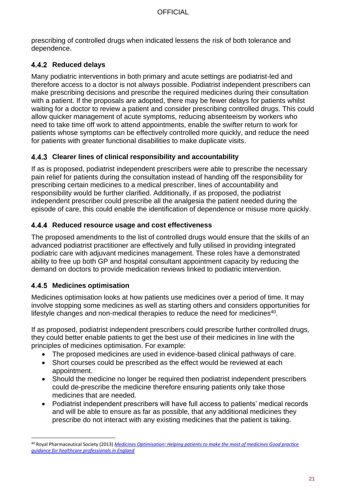prescribing of controlled drugs when indicated lessens the risk of both tolerance and dependence.

### **Reduced delays**

Many podiatric interventions in both primary and acute settings are podiatrist-led and therefore access to a doctor is not always possible. Podiatrist independent prescribers can make prescribing decisions and prescribe the required medicines during their consultation with a patient. If the proposals are adopted, there may be fewer delays for patients whilst waiting for a doctor to review a patient and consider prescribing controlled drugs. This could allow quicker management of acute symptoms, reducing absenteeism by workers who need to take time off work to attend appointments, enable the swifter return to work for patients whose symptoms can be effectively controlled more quickly, and reduce the need for patients with greater functional disabilities to make duplicate visits.

### **Clearer lines of clinical responsibility and accountability**

If as is proposed, podiatrist independent prescribers were able to prescribe the necessary pain relief for patients during the consultation instead of handing off the responsibility for prescribing certain medicines to a medical prescriber, lines of accountability and responsibility would be further clarified. Additionally, if as proposed, the podiatrist independent prescriber could prescribe all the analgesia the patient needed during the episode of care, this could enable the identification of dependence or misuse more quickly.

### **Reduced resource usage and cost effectiveness**

The proposed amendments to the list of controlled drugs would ensure that the skills of an advanced podiatrist practitioner are effectively and fully utilised in providing integrated podiatric care with adjuvant medicines management. These roles have a demonstrated ability to free up both GP and hospital consultant appointment capacity by reducing the demand on doctors to provide medication reviews linked to podiatric intervention.

### **Medicines optimisation**

Medicines optimisation looks at how patients use medicines over a period of time. It may involve stopping some medicines as well as starting others and considers opportunities for lifestyle changes and non-medical therapies to reduce the need for medicines<sup>40</sup>.

If as proposed, podiatrist independent prescribers could prescribe further controlled drugs, they could better enable patients to get the best use of their medicines in line with the principles of medicines optimisation. For example:

- The proposed medicines are used in evidence-based clinical pathways of care.
- Short courses could be prescribed as the effect would be reviewed at each appointment.
- Should the medicine no longer be required then podiatrist independent prescribers could de-prescribe the medicine therefore ensuring patients only take those medicines that are needed.
- Podiatrist independent prescribers will have full access to patients' medical records and will be able to ensure as far as possible, that any additional medicines they prescribe do not interact with any existing medicines that the patient is taking.

<sup>40</sup> Royal Pharmaceutical Society (2013) *[Medicines Optimisation: Helping patients to make the most of medicines Good practice](https://www.rpharms.com/Portals/0/RPS%20document%20library/Open%20access/Policy/helping-patients-make-the-most-of-their-medicines.pdf)  guidance for healthcare [professionals in England](https://www.rpharms.com/Portals/0/RPS%20document%20library/Open%20access/Policy/helping-patients-make-the-most-of-their-medicines.pdf)*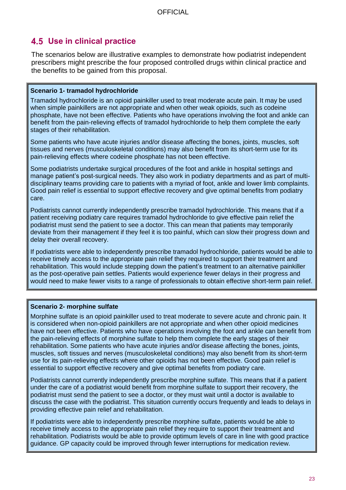### <span id="page-22-0"></span>**Use in clinical practice**

The scenarios below are illustrative examples to demonstrate how podiatrist independent prescribers might prescribe the four proposed controlled drugs within clinical practice and the benefits to be gained from this proposal.

#### **Scenario 1- tramadol hydrochloride**

Tramadol hydrochloride is an opioid painkiller used to treat moderate acute pain. It may be used when simple painkillers are not appropriate and when other weak opioids, such as codeine phosphate, have not been effective. Patients who have operations involving the foot and ankle can benefit from the pain-relieving effects of tramadol hydrochloride to help them complete the early stages of their rehabilitation.

Some patients who have acute injuries and/or disease affecting the bones, joints, muscles, soft tissues and nerves (musculoskeletal conditions) may also benefit from its short-term use for its pain-relieving effects where codeine phosphate has not been effective.

Some podiatrists undertake surgical procedures of the foot and ankle in hospital settings and manage patient's post-surgical needs. They also work in podiatry departments and as part of multidisciplinary teams providing care to patients with a myriad of foot, ankle and lower limb complaints. Good pain relief is essential to support effective recovery and give optimal benefits from podiatry care.

Podiatrists cannot currently independently prescribe tramadol hydrochloride. This means that if a patient receiving podiatry care requires tramadol hydrochloride to give effective pain relief the podiatrist must send the patient to see a doctor. This can mean that patients may temporarily deviate from their management if they feel it is too painful, which can slow their progress down and delay their overall recovery.

If podiatrists were able to independently prescribe tramadol hydrochloride, patients would be able to receive timely access to the appropriate pain relief they required to support their treatment and rehabilitation. This would include stepping down the patient's treatment to an alternative painkiller as the post-operative pain settles. Patients would experience fewer delays in their progress and would need to make fewer visits to a range of professionals to obtain effective short-term pain relief.

#### **Scenario 2- morphine sulfate**

Morphine sulfate is an opioid painkiller used to treat moderate to severe acute and chronic pain. It is considered when non-opioid painkillers are not appropriate and when other opioid medicines have not been effective. Patients who have operations involving the foot and ankle can benefit from the pain-relieving effects of morphine sulfate to help them complete the early stages of their rehabilitation. Some patients who have acute injuries and/or disease affecting the bones, joints, muscles, soft tissues and nerves (musculoskeletal conditions) may also benefit from its short-term use for its pain-relieving effects where other opioids has not been effective. Good pain relief is essential to support effective recovery and give optimal benefits from podiatry care.

Podiatrists cannot currently independently prescribe morphine sulfate. This means that if a patient under the care of a podiatrist would benefit from morphine sulfate to support their recovery, the podiatrist must send the patient to see a doctor, or they must wait until a doctor is available to discuss the case with the podiatrist. This situation currently occurs frequently and leads to delays in providing effective pain relief and rehabilitation.

If podiatrists were able to independently prescribe morphine sulfate, patients would be able to receive timely access to the appropriate pain relief they require to support their treatment and rehabilitation. Podiatrists would be able to provide optimum levels of care in line with good practice guidance. GP capacity could be improved through fewer interruptions for medication review.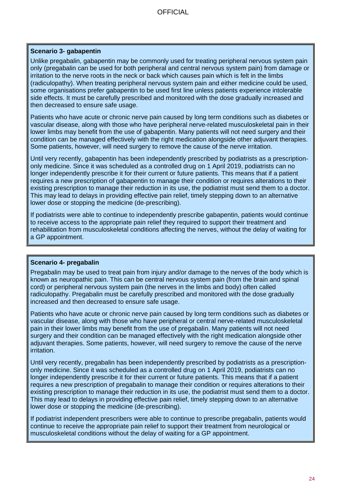#### **Scenario 3- gabapentin**

Unlike pregabalin, gabapentin may be commonly used for treating peripheral nervous system pain only (pregabalin can be used for both peripheral and central nervous system pain) from damage or irritation to the nerve roots in the neck or back which causes pain which is felt in the limbs (radiculopathy). When treating peripheral nervous system pain and either medicine could be used, some organisations prefer gabapentin to be used first line unless patients experience intolerable side effects. It must be carefully prescribed and monitored with the dose gradually increased and then decreased to ensure safe usage.

Patients who have acute or chronic nerve pain caused by long term conditions such as diabetes or vascular disease, along with those who have peripheral nerve-related musculoskeletal pain in their lower limbs may benefit from the use of gabapentin. Many patients will not need surgery and their condition can be managed effectively with the right medication alongside other adjuvant therapies. Some patients, however, will need surgery to remove the cause of the nerve irritation.

Until very recently, gabapentin has been independently prescribed by podiatrists as a prescriptiononly medicine. Since it was scheduled as a controlled drug on 1 April 2019, podiatrists can no longer independently prescribe it for their current or future patients. This means that if a patient requires a new prescription of gabapentin to manage their condition or requires alterations to their existing prescription to manage their reduction in its use, the podiatrist must send them to a doctor. This may lead to delays in providing effective pain relief, timely stepping down to an alternative lower dose or stopping the medicine (de-prescribing).

If podiatrists were able to continue to independently prescribe gabapentin, patients would continue to receive access to the appropriate pain relief they required to support their treatment and rehabilitation from musculoskeletal conditions affecting the nerves, without the delay of waiting for a GP appointment.

#### **Scenario 4- pregabalin**

Pregabalin may be used to treat pain from injury and/or damage to the nerves of the body which is known as neuropathic pain. This can be central nervous system pain (from the brain and spinal cord) or peripheral nervous system pain (the nerves in the limbs and body) often called radiculopathy. Pregabalin must be carefully prescribed and monitored with the dose gradually increased and then decreased to ensure safe usage.

Patients who have acute or chronic nerve pain caused by long term conditions such as diabetes or vascular disease, along with those who have peripheral or central nerve-related musculoskeletal pain in their lower limbs may benefit from the use of pregabalin. Many patients will not need surgery and their condition can be managed effectively with the right medication alongside other adjuvant therapies. Some patients, however, will need surgery to remove the cause of the nerve irritation.

Until very recently, pregabalin has been independently prescribed by podiatrists as a prescriptiononly medicine. Since it was scheduled as a controlled drug on 1 April 2019, podiatrists can no longer independently prescribe it for their current or future patients. This means that if a patient requires a new prescription of pregabalin to manage their condition or requires alterations to their existing prescription to manage their reduction in its use, the podiatrist must send them to a doctor. This may lead to delays in providing effective pain relief, timely stepping down to an alternative lower dose or stopping the medicine (de-prescribing).

If podiatrist independent prescribers were able to continue to prescribe pregabalin, patients would continue to receive the appropriate pain relief to support their treatment from neurological or musculoskeletal conditions without the delay of waiting for a GP appointment.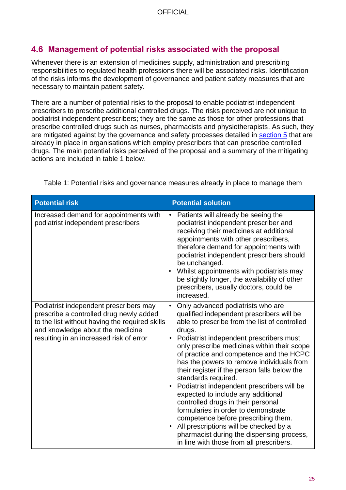### <span id="page-24-0"></span>**Management of potential risks associated with the proposal**

Whenever there is an extension of medicines supply, administration and prescribing responsibilities to regulated health professions there will be associated risks. Identification of the risks informs the development of governance and patient safety measures that are necessary to maintain patient safety.

There are a number of potential risks to the proposal to enable podiatrist independent prescribers to prescribe additional controlled drugs. The risks perceived are not unique to podiatrist independent prescribers; they are the same as those for other professions that prescribe controlled drugs such as nurses, pharmacists and physiotherapists. As such, they are mitigated against by the governance and safety processes detailed in [section 5](#page-26-1) that are already in place in organisations which employ prescribers that can prescribe controlled drugs. The main potential risks perceived of the proposal and a summary of the mitigating actions are included in table 1 below.

| <b>Potential risk</b>                                                                                                                                                                                              | <b>Potential solution</b>                                                                                                                                                                                                                                                                                                                                                                                                                                                                                                                                                                                                                                                                                                                     |
|--------------------------------------------------------------------------------------------------------------------------------------------------------------------------------------------------------------------|-----------------------------------------------------------------------------------------------------------------------------------------------------------------------------------------------------------------------------------------------------------------------------------------------------------------------------------------------------------------------------------------------------------------------------------------------------------------------------------------------------------------------------------------------------------------------------------------------------------------------------------------------------------------------------------------------------------------------------------------------|
| Increased demand for appointments with<br>podiatrist independent prescribers                                                                                                                                       | Patients will already be seeing the<br>podiatrist independent prescriber and<br>receiving their medicines at additional<br>appointments with other prescribers,<br>therefore demand for appointments with<br>podiatrist independent prescribers should<br>be unchanged.<br>Whilst appointments with podiatrists may<br>be slightly longer, the availability of other<br>prescribers, usually doctors, could be<br>increased.                                                                                                                                                                                                                                                                                                                  |
| Podiatrist independent prescribers may<br>prescribe a controlled drug newly added<br>to the list without having the required skills<br>and knowledge about the medicine<br>resulting in an increased risk of error | Only advanced podiatrists who are<br>qualified independent prescribers will be<br>able to prescribe from the list of controlled<br>drugs.<br>Podiatrist independent prescribers must<br>only prescribe medicines within their scope<br>of practice and competence and the HCPC<br>has the powers to remove individuals from<br>their register if the person falls below the<br>standards required.<br>Podiatrist independent prescribers will be<br>expected to include any additional<br>controlled drugs in their personal<br>formularies in order to demonstrate<br>competence before prescribing them.<br>All prescriptions will be checked by a<br>pharmacist during the dispensing process,<br>in line with those from all prescribers. |

Table 1: Potential risks and governance measures already in place to manage them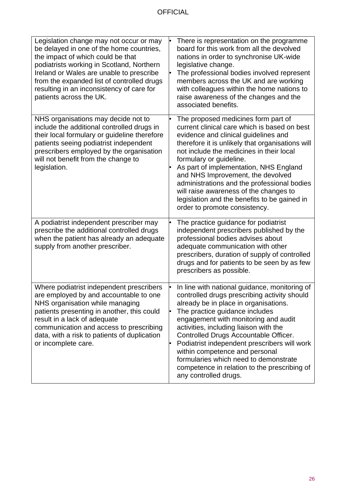| Legislation change may not occur or may<br>be delayed in one of the home countries,<br>the impact of which could be that<br>podiatrists working in Scotland, Northern<br>Ireland or Wales are unable to prescribe<br>from the expanded list of controlled drugs<br>resulting in an inconsistency of care for<br>patients across the UK. | There is representation on the programme<br>board for this work from all the devolved<br>nations in order to synchronise UK-wide<br>legislative change.<br>The professional bodies involved represent<br>members across the UK and are working<br>with colleagues within the home nations to<br>raise awareness of the changes and the<br>associated benefits.                                                                                                                                                  |
|-----------------------------------------------------------------------------------------------------------------------------------------------------------------------------------------------------------------------------------------------------------------------------------------------------------------------------------------|-----------------------------------------------------------------------------------------------------------------------------------------------------------------------------------------------------------------------------------------------------------------------------------------------------------------------------------------------------------------------------------------------------------------------------------------------------------------------------------------------------------------|
| NHS organisations may decide not to<br>include the additional controlled drugs in<br>their local formulary or guideline therefore<br>patients seeing podiatrist independent<br>prescribers employed by the organisation<br>will not benefit from the change to<br>legislation.                                                          | The proposed medicines form part of<br>current clinical care which is based on best<br>evidence and clinical guidelines and<br>therefore it is unlikely that organisations will<br>not include the medicines in their local<br>formulary or guideline.<br>As part of implementation, NHS England<br>and NHS Improvement, the devolved<br>administrations and the professional bodies<br>will raise awareness of the changes to<br>legislation and the benefits to be gained in<br>order to promote consistency. |
| A podiatrist independent prescriber may<br>prescribe the additional controlled drugs<br>when the patient has already an adequate<br>supply from another prescriber.                                                                                                                                                                     | The practice guidance for podiatrist<br>independent prescribers published by the<br>professional bodies advises about<br>adequate communication with other<br>prescribers, duration of supply of controlled<br>drugs and for patients to be seen by as few<br>prescribers as possible.                                                                                                                                                                                                                          |
| Where podiatrist independent prescribers<br>are employed by and accountable to one<br>NHS organisation while managing<br>patients presenting in another, this could<br>result in a lack of adequate<br>communication and access to prescribing<br>data, with a risk to patients of duplication<br>or incomplete care.                   | In line with national guidance, monitoring of<br>controlled drugs prescribing activity should<br>already be in place in organisations.<br>The practice guidance includes<br>engagement with monitoring and audit<br>activities, including liaison with the<br>Controlled Drugs Accountable Officer.<br>Podiatrist independent prescribers will work<br>within competence and personal<br>formularies which need to demonstrate<br>competence in relation to the prescribing of<br>any controlled drugs.         |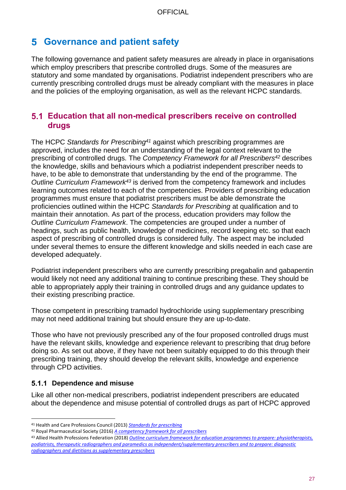### <span id="page-26-1"></span>**Governance and patient safety**

The following governance and patient safety measures are already in place in organisations which employ prescribers that prescribe controlled drugs. Some of the measures are statutory and some mandated by organisations. Podiatrist independent prescribers who are currently prescribing controlled drugs must be already compliant with the measures in place and the policies of the employing organisation, as well as the relevant HCPC standards.

### <span id="page-26-0"></span>**Education that all non-medical prescribers receive on controlled drugs**

The HCPC *Standards for Prescribing<sup>41</sup>* against which prescribing programmes are approved, includes the need for an understanding of the legal context relevant to the prescribing of controlled drugs. The *Competency Framework for all Prescribers<sup>42</sup>* describes the knowledge, skills and behaviours which a podiatrist independent prescriber needs to have, to be able to demonstrate that understanding by the end of the programme. The *Outline Curriculum Framework<sup>43</sup>* is derived from the competency framework and includes learning outcomes related to each of the competencies. Providers of prescribing education programmes must ensure that podiatrist prescribers must be able demonstrate the proficiencies outlined within the HCPC *Standards for Prescribing* at qualification and to maintain their annotation. As part of the process, education providers may follow the *Outline Curriculum Framework*. The competencies are grouped under a number of headings, such as public health, knowledge of medicines, record keeping etc. so that each aspect of prescribing of controlled drugs is considered fully. The aspect may be included under several themes to ensure the different knowledge and skills needed in each case are developed adequately.

Podiatrist independent prescribers who are currently prescribing pregabalin and gabapentin would likely not need any additional training to continue prescribing these. They should be able to appropriately apply their training in controlled drugs and any guidance updates to their existing prescribing practice.

Those competent in prescribing tramadol hydrochloride using supplementary prescribing may not need additional training but should ensure they are up-to-date.

Those who have not previously prescribed any of the four proposed controlled drugs must have the relevant skills, knowledge and experience relevant to prescribing that drug before doing so. As set out above, if they have not been suitably equipped to do this through their prescribing training, they should develop the relevant skills, knowledge and experience through CPD activities.

### **5.1.1 Dependence and misuse**

Like all other non-medical prescribers, podiatrist independent prescribers are educated about the dependence and misuse potential of controlled drugs as part of HCPC approved

<sup>41</sup> Health and Care Professions Council (2013) *[Standards for prescribing](https://www.hcpc-uk.org/resources/standards/standards-for-prescribing/)*

<sup>42</sup> Royal Pharmaceutical Society (2016) *[A competency framework for all prescribers](https://www.rpharms.com/resources/frameworks/prescribers-competency-framework)*

<sup>43</sup> Allied Health Professions Federation (2018) *[Outline curriculum framework for education programmes to prepare: physiotherapists,](http://www.ahpf.org.uk/files/Joint%20OCF%202018%20update%20College%20of%20Paramedics%20March18%20minor%20error%20corrected.pdf)  podiatrists, therapeutic radiographers and paramedics [as independent/supplementary prescribers and to prepare: diagnostic](http://www.ahpf.org.uk/files/Joint%20OCF%202018%20update%20College%20of%20Paramedics%20March18%20minor%20error%20corrected.pdf)  [radiographers and dietitians as supplementary prescribers](http://www.ahpf.org.uk/files/Joint%20OCF%202018%20update%20College%20of%20Paramedics%20March18%20minor%20error%20corrected.pdf)*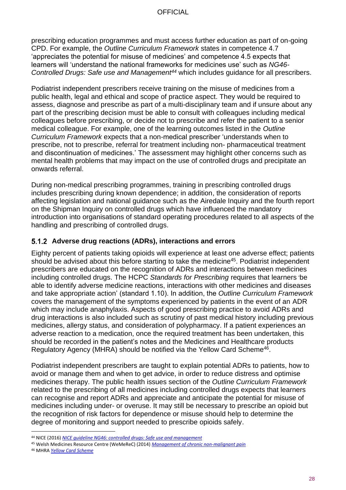prescribing education programmes and must access further education as part of on-going CPD. For example, the *Outline Curriculum Framework* states in competence 4.7 'appreciates the potential for misuse of medicines' and competence 4.5 expects that learners will 'understand the national frameworks for medicines use' such as *NG46- Controlled Drugs: Safe use and Management<sup>44</sup>* which includes guidance for all prescribers.

Podiatrist independent prescribers receive training on the misuse of medicines from a public health, legal and ethical and scope of practice aspect. They would be required to assess, diagnose and prescribe as part of a multi-disciplinary team and if unsure about any part of the prescribing decision must be able to consult with colleagues including medical colleagues before prescribing, or decide not to prescribe and refer the patient to a senior medical colleague. For example, one of the learning outcomes listed in the *Outline Curriculum Framework* expects that a non-medical prescriber 'understands when to prescribe, not to prescribe, referral for treatment including non- pharmaceutical treatment and discontinuation of medicines.' The assessment may highlight other concerns such as mental health problems that may impact on the use of controlled drugs and precipitate an onwards referral.

During non-medical prescribing programmes, training in prescribing controlled drugs includes prescribing during known dependence; in addition, the consideration of reports affecting legislation and national guidance such as the Airedale Inquiry and the fourth report on the Shipman Inquiry on controlled drugs which have influenced the mandatory introduction into organisations of standard operating procedures related to all aspects of the handling and prescribing of controlled drugs.

### **Adverse drug reactions (ADRs), interactions and errors**

Eighty percent of patients taking opioids will experience at least one adverse effect; patients should be advised about this before starting to take the medicine<sup>45</sup>. Podiatrist independent prescribers are educated on the recognition of ADRs and interactions between medicines including controlled drugs. The HCPC *Standards for Prescribing* requires that learners 'be able to identify adverse medicine reactions, interactions with other medicines and diseases and take appropriate action' (standard 1.10). In addition, the *Outline Curriculum Framework* covers the management of the symptoms experienced by patients in the event of an ADR which may include anaphylaxis. Aspects of good prescribing practice to avoid ADRs and drug interactions is also included such as scrutiny of past medical history including previous medicines, allergy status, and consideration of polypharmacy. If a patient experiences an adverse reaction to a medication, once the required treatment has been undertaken, this should be recorded in the patient's notes and the Medicines and Healthcare products Regulatory Agency (MHRA) should be notified via the Yellow Card Scheme<sup>46</sup>.

Podiatrist independent prescribers are taught to explain potential ADRs to patients, how to avoid or manage them and when to get advice, in order to reduce distress and optimise medicines therapy. The public health issues section of the *Outline Curriculum Framework* related to the prescribing of all medicines including controlled drugs expects that learners can recognise and report ADRs and appreciate and anticipate the potential for misuse of medicines including under- or overuse. It may still be necessary to prescribe an opioid but the recognition of risk factors for dependence or misuse should help to determine the degree of monitoring and support needed to prescribe opioids safely.

<sup>44</sup> NICE (2016) *[NICE guideline NG46: controlled drugs: Safe use and management](https://www.nice.org.uk/guidance/ng46)*

<sup>45</sup> Welsh Medicines Resource Centre (WeMeReC) (2014) *[Management of chronic non-malignant pain](https://www.wemerec.org/Documents/Bulletins/ChronicPainBulletin2014Online.pdf)*

<sup>46</sup> MHRA *[Yellow Card Scheme](https://yellowcard.mhra.gov.uk/)*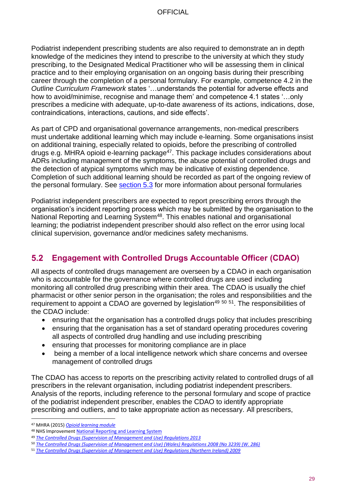Podiatrist independent prescribing students are also required to demonstrate an in depth knowledge of the medicines they intend to prescribe to the university at which they study prescribing, to the Designated Medical Practitioner who will be assessing them in clinical practice and to their employing organisation on an ongoing basis during their prescribing career through the completion of a personal formulary. For example, competence 4.2 in the *Outline Curriculum Framework* states '…understands the potential for adverse effects and how to avoid/minimise, recognise and manage them' and competence 4.1 states '…only prescribes a medicine with adequate, up-to-date awareness of its actions, indications, dose, contraindications, interactions, cautions, and side effects'.

As part of CPD and organisational governance arrangements, non-medical prescribers must undertake additional learning which may include e-learning. Some organisations insist on additional training, especially related to opioids, before the prescribing of controlled drugs e.g. MHRA opioid e-learning package $47$ . This package includes considerations about ADRs including management of the symptoms, the abuse potential of controlled drugs and the detection of atypical symptoms which may be indicative of existing dependence. Completion of such additional learning should be recorded as part of the ongoing review of the personal formulary. See [section 5.3](#page-29-0) for more information about personal formularies

Podiatrist independent prescribers are expected to report prescribing errors through the organisation's incident reporting process which may be submitted by the organisation to the National Reporting and Learning System<sup>48</sup>. This enables national and organisational learning; the podiatrist independent prescriber should also reflect on the error using local clinical supervision, governance and/or medicines safety mechanisms.

#### <span id="page-28-0"></span> $5.2$ **Engagement with Controlled Drugs Accountable Officer (CDAO)**

All aspects of controlled drugs management are overseen by a CDAO in each organisation who is accountable for the governance where controlled drugs are used including monitoring all controlled drug prescribing within their area. The CDAO is usually the chief pharmacist or other senior person in the organisation; the roles and responsibilities and the requirement to appoint a CDAO are governed by legislation<sup>49 50 51</sup>. The responsibilities of the CDAO include:

- ensuring that the organisation has a controlled drugs policy that includes prescribing
- ensuring that the organisation has a set of standard operating procedures covering all aspects of controlled drug handling and use including prescribing
- ensuring that processes for monitoring compliance are in place
- being a member of a local intelligence network which share concerns and oversee management of controlled drugs

The CDAO has access to reports on the prescribing activity related to controlled drugs of all prescribers in the relevant organisation, including podiatrist independent prescribers. Analysis of the reports, including reference to the personal formulary and scope of practice of the podiatrist independent prescriber, enables the CDAO to identify appropriate prescribing and outliers, and to take appropriate action as necessary. All prescribers,

<sup>47</sup> MHRA (2015) *[Opioid learning module](http://www.mhra.gov.uk/opioids-learning-module/index.htm)*

<sup>48</sup> NHS Improvemen[t National Reporting and Learning System](https://report.nrls.nhs.uk/nrlsreporting)

<sup>49</sup> *[The Controlled Drugs \(Supervision of Management and Use\) Regulations 2013](http://www.legislation.gov.uk/uksi/2013/373/regulation/11/made)*

<sup>50</sup> *[The Controlled Drugs \(Supervision of Management and Use\) \(Wales\) Regulations 2008 \(No 3239\)](http://www.legislation.gov.uk/wsi/2008/3239/contents/made) (W. 286)* 

<sup>51</sup> *[The Controlled Drugs \(Supervision of Management and Use\) Regulations \(Northern Ireland\) 2009](http://www.legislation.gov.uk/nisr/2009/225/contents/made)*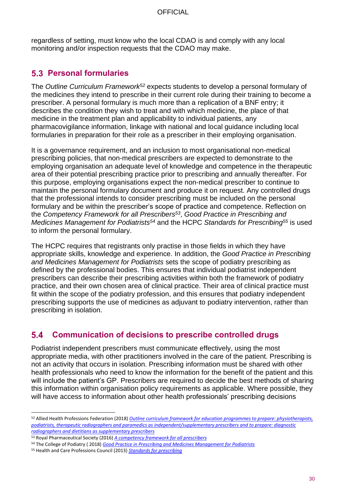regardless of setting, must know who the local CDAO is and comply with any local monitoring and/or inspection requests that the CDAO may make.

### <span id="page-29-0"></span>**Personal formularies**

The *Outline Curriculum Framework<sup>52</sup>* expects students to develop a personal formulary of the medicines they intend to prescribe in their current role during their training to become a prescriber. A personal formulary is much more than a replication of a BNF entry; it describes the condition they wish to treat and with which medicine, the place of that medicine in the treatment plan and applicability to individual patients, any pharmacovigilance information, linkage with national and local guidance including local formularies in preparation for their role as a prescriber in their employing organisation.

It is a governance requirement, and an inclusion to most organisational non-medical prescribing policies, that non-medical prescribers are expected to demonstrate to the employing organisation an adequate level of knowledge and competence in the therapeutic area of their potential prescribing practice prior to prescribing and annually thereafter. For this purpose, employing organisations expect the non-medical prescriber to continue to maintain the personal formulary document and produce it on request. Any controlled drugs that the professional intends to consider prescribing must be included on the personal formulary and be within the prescriber's scope of practice and competence. Reflection on the *Competency Framework for all Prescribers<sup>53</sup>* , *Good Practice in Prescribing and Medicines Management for Podiatrists<sup>54</sup>* and the HCPC *Standards for Prescribing<sup>55</sup>* is used to inform the personal formulary.

The HCPC requires that registrants only practise in those fields in which they have appropriate skills, knowledge and experience. In addition, the *Good Practice in Prescribing and Medicines Management for Podiatrists* sets the scope of podiatry prescribing as defined by the professional bodies. This ensures that individual podiatrist independent prescribers can describe their prescribing activities within both the framework of podiatry practice, and their own chosen area of clinical practice. Their area of clinical practice must fit within the scope of the podiatry profession, and this ensures that podiatry independent prescribing supports the use of medicines as adjuvant to podiatry intervention, rather than prescribing in isolation.

#### <span id="page-29-1"></span> $5.4$ **Communication of decisions to prescribe controlled drugs**

Podiatrist independent prescribers must communicate effectively, using the most appropriate media, with other practitioners involved in the care of the patient. Prescribing is not an activity that occurs in isolation. Prescribing information must be shared with other health professionals who need to know the information for the benefit of the patient and this will include the patient's GP. Prescribers are required to decide the best methods of sharing this information within organisation policy requirements as applicable. Where possible, they will have access to information about other health professionals' prescribing decisions

<sup>52</sup> Allied Health Professions Federation (2018) *[Outline curriculum framework for education programmes to prepare: physiotherapists,](http://www.ahpf.org.uk/files/Joint%20OCF%202018%20update%20College%20of%20Paramedics%20March18%20minor%20error%20corrected.pdf)  podiatrists, therapeutic radiographers and paramedics [as independent/supplementary prescribers and to prepare: diagnostic](http://www.ahpf.org.uk/files/Joint%20OCF%202018%20update%20College%20of%20Paramedics%20March18%20minor%20error%20corrected.pdf)  [radiographers and dietitians as supplementary prescribers](http://www.ahpf.org.uk/files/Joint%20OCF%202018%20update%20College%20of%20Paramedics%20March18%20minor%20error%20corrected.pdf)*

<sup>53</sup> Royal Pharmaceutical Society (2016) *[A competency framework for all prescribers](https://www.rpharms.com/resources/frameworks/prescribers-competency-framework)*

<sup>54</sup> The College of Podiatry ( 2018) *[Good Practice in Prescribing and Medicines Management for Podiatrists](https://cop.org.uk/EasySiteWeb/GatewayLink.aspx?alId=54512)*

<sup>55</sup> Health and Care Professions Council (2013) *[Standards for prescribing](https://www.hcpc-uk.org/resources/standards/standards-for-prescribing/)*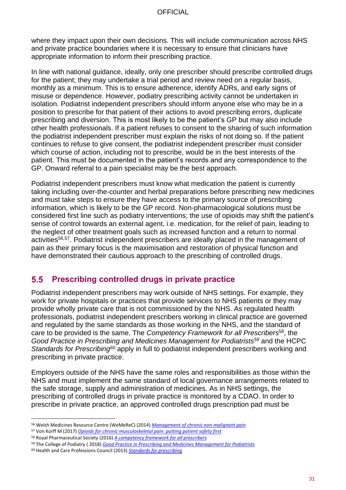where they impact upon their own decisions. This will include communication across NHS and private practice boundaries where it is necessary to ensure that clinicians have appropriate information to inform their prescribing practice.

In line with national guidance, ideally, only one prescriber should prescribe controlled drugs for the patient; they may undertake a trial period and review need on a regular basis, monthly as a minimum. This is to ensure adherence, identify ADRs, and early signs of misuse or dependence. However, podiatry prescribing activity cannot be undertaken in isolation. Podiatrist independent prescribers should inform anyone else who may be in a position to prescribe for that patient of their actions to avoid prescribing errors, duplicate prescribing and diversion. This is most likely to be the patient's GP but may also include other health professionals. If a patient refuses to consent to the sharing of such information the podiatrist independent prescriber must explain the risks of not doing so. If the patient continues to refuse to give consent, the podiatrist independent prescriber must consider which course of action, including not to prescribe, would be in the best interests of the patient. This must be documented in the patient's records and any correspondence to the GP. Onward referral to a pain specialist may be the best approach.

Podiatrist independent prescribers must know what medication the patient is currently taking including over-the-counter and herbal preparations before prescribing new medicines and must take steps to ensure they have access to the primary source of prescribing information, which is likely to be the GP record. Non-pharmacological solutions must be considered first line such as podiatry interventions; the use of opioids may shift the patient's sense of control towards an external agent, i.e. medication, for the relief of pain, leading to the neglect of other treatment goals such as increased function and a return to normal activities<sup>56,57</sup>. Podiatrist independent prescribers are ideally placed in the management of pain as their primary focus is the maximisation and restoration of physical function and have demonstrated their cautious approach to the prescribing of controlled drugs.

#### <span id="page-30-0"></span> $5.5$ **Prescribing controlled drugs in private practice**

Podiatrist independent prescribers may work outside of NHS settings. For example, they work for private hospitals or practices that provide services to NHS patients or they may provide wholly private care that is not commissioned by the NHS. As regulated health professionals, podiatrist independent prescribers working in clinical practice are governed and regulated by the same standards as those working in the NHS, and the standard of care to be provided is the same. The *Competency Framework for all Prescribers*<sup>58</sup> , the *Good Practice in Prescribing and Medicines Management for Podiatrists<sup>59</sup>* and the HCPC *Standards for Prescribing<sup>60</sup>* apply in full to podiatrist independent prescribers working and prescribing in private practice.

Employers outside of the NHS have the same roles and responsibilities as those within the NHS and must implement the same standard of local governance arrangements related to the safe storage, supply and administration of medicines. As in NHS settings, the prescribing of controlled drugs in private practice is monitored by a CDAO. In order to prescribe in private practice, an approved controlled drugs prescription pad must be

<sup>56</sup> Welsh Medicines Resource Centre (WeMeReC) (2014) *[Management of chronic non-malignant pain](https://www.wemerec.org/Documents/Bulletins/ChronicPainBulletin2014Online.pdf)*

<sup>57</sup> Von Korff M (2017) *Opioids for [chronic musculoskeletal pain: putting patient safety first](http://europepmc.org/articles/PMC4036622)*

<sup>58</sup> Royal Pharmaceutical Society (2016) *[A competency framework for all prescriber](https://www.rpharms.com/resources/frameworks/prescribers-competency-framework)*s

<sup>59</sup> The College of Podiatry ( 2018) *[Good Practice in Prescribing and Medicines Management for Podiatrists](https://cop.org.uk/EasySiteWeb/GatewayLink.aspx?alId=54512)*

<sup>60</sup> Health and Care Professions Council (2013) *[Standards for prescribing](https://www.hcpc-uk.org/resources/standards/standards-for-prescribing/)*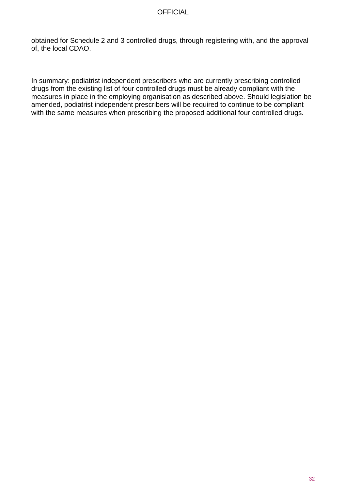obtained for Schedule 2 and 3 controlled drugs, through registering with, and the approval of, the local CDAO.

In summary: podiatrist independent prescribers who are currently prescribing controlled drugs from the existing list of four controlled drugs must be already compliant with the measures in place in the employing organisation as described above. Should legislation be amended, podiatrist independent prescribers will be required to continue to be compliant with the same measures when prescribing the proposed additional four controlled drugs.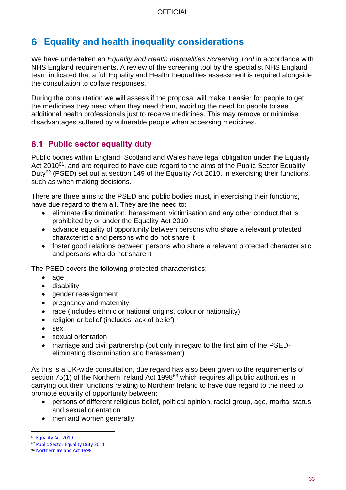## <span id="page-32-0"></span>**Equality and health inequality considerations**

We have undertaken an *Equality and Health Inequalities Screening Tool* in accordance with NHS England requirements. A review of the screening tool by the specialist NHS England team indicated that a full Equality and Health Inequalities assessment is required alongside the consultation to collate responses.

During the consultation we will assess if the proposal will make it easier for people to get the medicines they need when they need them, avoiding the need for people to see additional health professionals just to receive medicines. This may remove or minimise disadvantages suffered by vulnerable people when accessing medicines.

### <span id="page-32-1"></span>**6.1 Public sector equality duty**

Public bodies within England, Scotland and Wales have legal obligation under the Equality Act  $2010^{61}$ , and are required to have due regard to the aims of the Public Sector Equality Duty<sup>62</sup> (PSED) set out at section 149 of the Equality Act 2010, in exercising their functions, such as when making decisions.

There are three aims to the PSED and public bodies must, in exercising their functions, have due regard to them all. They are the need to:

- eliminate discrimination, harassment, victimisation and any other conduct that is prohibited by or under the Equality Act 2010
- advance equality of opportunity between persons who share a relevant protected characteristic and persons who do not share it
- foster good relations between persons who share a relevant protected characteristic and persons who do not share it

The PSED covers the following protected characteristics:

- age
- disability
- gender reassignment
- pregnancy and maternity
- race (includes ethnic or national origins, colour or nationality)
- religion or belief (includes lack of belief)
- sex
- sexual orientation
- marriage and civil partnership (but only in regard to the first aim of the PSEDeliminating discrimination and harassment)

As this is a UK-wide consultation, due regard has also been given to the requirements of section 75(1) of the Northern Ireland Act 1998<sup>63</sup> which requires all public authorities in carrying out their functions relating to Northern Ireland to have due regard to the need to promote equality of opportunity between:

- persons of different religious belief, political opinion, racial group, age, marital status and sexual orientation
- men and women generally

<sup>61</sup> [Equality Act 2010](http://www.legislation.gov.uk/ukpga/2010/15/contents)

<sup>62</sup> [Public Sector Equality Duty 2011](https://www.gov.uk/government/publications/public-sector-equality-duty)

<sup>63</sup> [Northern Ireland Act 1998](http://www.legislation.gov.uk/ukpga/1998/47/contents)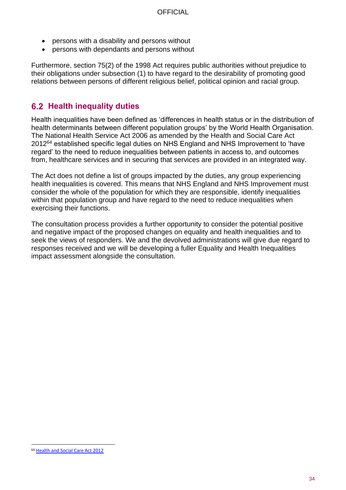- persons with a disability and persons without
- persons with dependants and persons without

Furthermore, section 75(2) of the 1998 Act requires public authorities without prejudice to their obligations under subsection (1) to have regard to the desirability of promoting good relations between persons of different religious belief, political opinion and racial group.

### <span id="page-33-0"></span>**6.2 Health inequality duties**

Health inequalities have been defined as 'differences in health status or in the distribution of health determinants between different population groups' by the World Health Organisation. The National Health Service Act 2006 as amended by the Health and Social Care Act  $2012^{64}$  established specific legal duties on NHS England and NHS Improvement to 'have regard' to the need to reduce inequalities between patients in access to, and outcomes from, healthcare services and in securing that services are provided in an integrated way.

The Act does not define a list of groups impacted by the duties, any group experiencing health inequalities is covered. This means that NHS England and NHS Improvement must consider the whole of the population for which they are responsible, identify inequalities within that population group and have regard to the need to reduce inequalities when exercising their functions.

The consultation process provides a further opportunity to consider the potential positive and negative impact of the proposed changes on equality and health inequalities and to seek the views of responders. We and the devolved administrations will give due regard to responses received and we will be developing a fuller Equality and Health Inequalities impact assessment alongside the consultation.

<sup>64</sup> [Health and Social Care Act 2012](http://www.legislation.gov.uk/ukpga/2012/7/contents/enacted)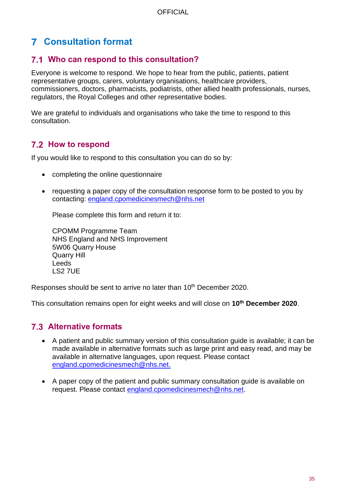## **Consultation format**

### <span id="page-34-0"></span>**Who can respond to this consultation?**

Everyone is welcome to respond. We hope to hear from the public, patients, patient representative groups, carers, voluntary organisations, healthcare providers, commissioners, doctors, pharmacists, podiatrists, other allied health professionals, nurses, regulators, the Royal Colleges and other representative bodies.

We are grateful to individuals and organisations who take the time to respond to this consultation.

### <span id="page-34-1"></span>**7.2 How to respond**

If you would like to respond to this consultation you can do so by:

- completing the online questionnaire
- requesting a paper copy of the consultation response form to be posted to you by contacting: [england.cpomedicinesmech@nhs.net](mailto:england.cpomedicinesmech@nhs.net)

Please complete this form and return it to:

CPOMM Programme Team NHS England and NHS Improvement 5W06 Quarry House Quarry Hill Leeds LS2 7UE

Responses should be sent to arrive no later than 10<sup>th</sup> December 2020.

This consultation remains open for eight weeks and will close on **10th December 2020**.

### <span id="page-34-2"></span>**Alternative formats**

- A patient and public summary version of this consultation guide is available; it can be made available in alternative formats such as large print and easy read, and may be available in alternative languages, upon request. Please contact [england.cpomedicinesmech@nhs.net.](mailto:england.cpomedicinesmech@nhs.net)
- A paper copy of the patient and public summary consultation guide is available on request. Please contact [england.cpomedicinesmech@nhs.net.](mailto:england.cpomedicinesmech@nhs.net)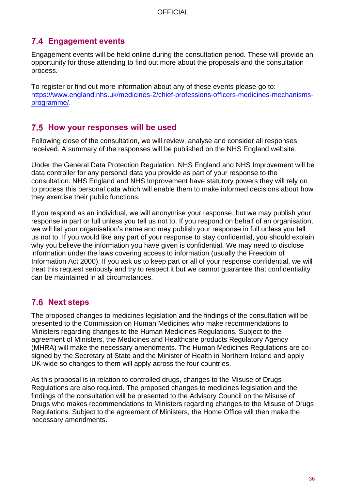### <span id="page-35-0"></span>**Engagement events**

Engagement events will be held online during the consultation period. These will provide an opportunity for those attending to find out more about the proposals and the consultation process.

To register or find out more information about any of these events please go to: [https://www.england.nhs.uk/medicines-2/chief-professions-officers-medicines-mechanisms](https://www.england.nhs.uk/medicines-2/chief-professions-officers-medicines-mechanisms-programme/)[programme/.](https://www.england.nhs.uk/medicines-2/chief-professions-officers-medicines-mechanisms-programme/)

### <span id="page-35-1"></span>**How your responses will be used**

Following close of the consultation, we will review, analyse and consider all responses received. A summary of the responses will be published on the NHS England website.

Under the General Data Protection Regulation, NHS England and NHS Improvement will be data controller for any personal data you provide as part of your response to the consultation. NHS England and NHS Improvement have statutory powers they will rely on to process this personal data which will enable them to make informed decisions about how they exercise their public functions.

If you respond as an individual, we will anonymise your response, but we may publish your response in part or full unless you tell us not to. If you respond on behalf of an organisation, we will list your organisation's name and may publish your response in full unless you tell us not to. If you would like any part of your response to stay confidential, you should explain why you believe the information you have given is confidential. We may need to disclose information under the laws covering access to information (usually the Freedom of Information Act 2000). If you ask us to keep part or all of your response confidential, we will treat this request seriously and try to respect it but we cannot guarantee that confidentiality can be maintained in all circumstances.

### <span id="page-35-2"></span>**7.6 Next steps**

The proposed changes to medicines legislation and the findings of the consultation will be presented to the Commission on Human Medicines who make recommendations to Ministers regarding changes to the Human Medicines Regulations. Subject to the agreement of Ministers, the Medicines and Healthcare products Regulatory Agency (MHRA) will make the necessary amendments. The Human Medicines Regulations are cosigned by the Secretary of State and the Minister of Health in Northern Ireland and apply UK-wide so changes to them will apply across the four countries.

As this proposal is in relation to controlled drugs, changes to the Misuse of Drugs Regulations are also required. The proposed changes to medicines legislation and the findings of the consultation will be presented to the Advisory Council on the Misuse of Drugs who makes recommendations to Ministers regarding changes to the Misuse of Drugs Regulations. Subject to the agreement of Ministers, the Home Office will then make the necessary amendments.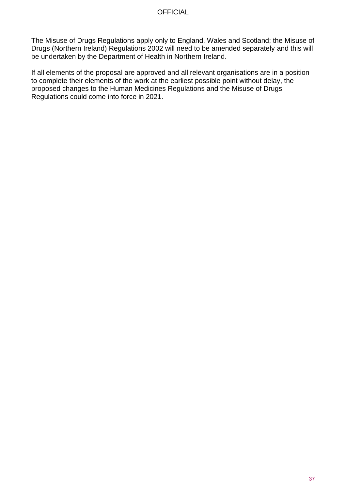The Misuse of Drugs Regulations apply only to England, Wales and Scotland; the Misuse of Drugs (Northern Ireland) Regulations 2002 will need to be amended separately and this will be undertaken by the Department of Health in Northern Ireland.

If all elements of the proposal are approved and all relevant organisations are in a position to complete their elements of the work at the earliest possible point without delay, the proposed changes to the Human Medicines Regulations and the Misuse of Drugs Regulations could come into force in 2021.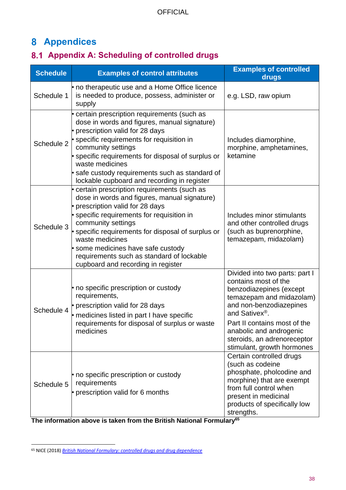### <span id="page-37-0"></span>**Appendices**

### <span id="page-37-1"></span>**Appendix A: Scheduling of controlled drugs**

| <b>Schedule</b> | <b>Examples of control attributes</b>                                                                                                                                                                                                                                                                                                                                                        | <b>Examples of controlled</b><br>drugs                                                                                                                                                                                                                                                         |
|-----------------|----------------------------------------------------------------------------------------------------------------------------------------------------------------------------------------------------------------------------------------------------------------------------------------------------------------------------------------------------------------------------------------------|------------------------------------------------------------------------------------------------------------------------------------------------------------------------------------------------------------------------------------------------------------------------------------------------|
| Schedule 1      | • no therapeutic use and a Home Office licence<br>is needed to produce, possess, administer or<br>supply                                                                                                                                                                                                                                                                                     | e.g. LSD, raw opium                                                                                                                                                                                                                                                                            |
| Schedule 2      | certain prescription requirements (such as<br>dose in words and figures, manual signature)<br>• prescription valid for 28 days<br>specific requirements for requisition in<br>community settings<br>specific requirements for disposal of surplus or<br>waste medicines<br>• safe custody requirements such as standard of<br>lockable cupboard and recording in register                    | Includes diamorphine,<br>morphine, amphetamines,<br>ketamine                                                                                                                                                                                                                                   |
| Schedule 3      | certain prescription requirements (such as<br>dose in words and figures, manual signature)<br>prescription valid for 28 days<br>specific requirements for requisition in<br>community settings<br>specific requirements for disposal of surplus or<br>waste medicines<br>some medicines have safe custody<br>requirements such as standard of lockable<br>cupboard and recording in register | Includes minor stimulants<br>and other controlled drugs<br>(such as buprenorphine,<br>temazepam, midazolam)                                                                                                                                                                                    |
| Schedule 4      | • no specific prescription or custody<br>requirements,<br>• prescription valid for 28 days<br>• medicines listed in part I have specific<br>requirements for disposal of surplus or waste<br>medicines                                                                                                                                                                                       | Divided into two parts: part I<br>contains most of the<br>benzodiazepines (except<br>temazepam and midazolam)<br>and non-benzodiazepines<br>and Sativex <sup>®</sup> .<br>Part II contains most of the<br>anabolic and androgenic<br>steroids, an adrenoreceptor<br>stimulant, growth hormones |
| Schedule 5      | • no specific prescription or custody<br>requirements<br>• prescription valid for 6 months                                                                                                                                                                                                                                                                                                   | Certain controlled drugs<br>(such as codeine<br>phosphate, pholcodine and<br>morphine) that are exempt<br>from full control when<br>present in medicinal<br>products of specifically low<br>strengths.                                                                                         |

**The information above is taken from the British National Formulary<sup>65</sup>**

<sup>65</sup> NICE (2018) *[British National Formulary: controlled drugs and drug dependence](https://bnf.nice.org.uk/guidance/controlled-drugs-and-drug-dependence.html)*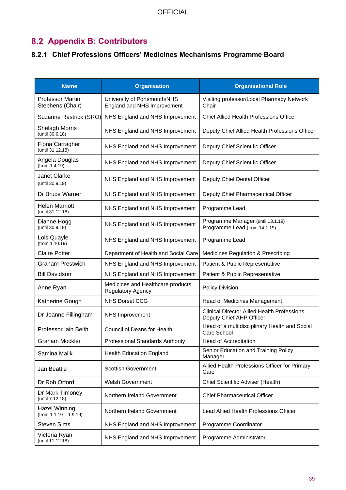### <span id="page-38-0"></span>**Appendix B: Contributors**

### <span id="page-38-1"></span>**Chief Professions Officers' Medicines Mechanisms Programme Board**

| <b>Name</b>                                 | <b>Organisation</b>                                           | <b>Organisational Role</b>                                               |
|---------------------------------------------|---------------------------------------------------------------|--------------------------------------------------------------------------|
| <b>Professor Martin</b><br>Stephens (Chair) | University of Portsmouth/NHS<br>England and NHS Improvement   | Visiting professor/Local Pharmacy Network<br>Chair                       |
| Suzanne Rastrick (SRO)                      | NHS England and NHS Improvement                               | <b>Chief Allied Health Professions Officer</b>                           |
| <b>Shelagh Morris</b><br>(until 30.6.18)    | NHS England and NHS Improvement                               | Deputy Chief Allied Health Professions Officer                           |
| Fiona Carragher<br>(until 31.12.18)         | NHS England and NHS Improvement                               | Deputy Chief Scientific Officer                                          |
| Angela Douglas<br>(from 1.4.19)             | NHS England and NHS Improvement                               | Deputy Chief Scientific Officer                                          |
| Janet Clarke<br>(until 30.9.19)             | NHS England and NHS Improvement                               | Deputy Chief Dental Officer                                              |
| Dr Bruce Warner                             | NHS England and NHS Improvement                               | Deputy Chief Pharmaceutical Officer                                      |
| <b>Helen Marriott</b><br>(until 31.12.18)   | NHS England and NHS Improvement                               | Programme Lead                                                           |
| Dianne Hogg<br>(until 30.9.19)              | NHS England and NHS Improvement                               | Programme Manager (until 13.1.19)<br>Programme Lead (from 14.1.19)       |
| Lois Quayle<br>(from 1.10.19)               | NHS England and NHS Improvement                               | Programme Lead                                                           |
| <b>Claire Potter</b>                        | Department of Health and Social Care                          | Medicines Regulation & Prescribing                                       |
| <b>Graham Prestwich</b>                     | NHS England and NHS Improvement                               | Patient & Public Representative                                          |
| <b>Bill Davidson</b>                        | NHS England and NHS Improvement                               | Patient & Public Representative                                          |
| Anne Ryan                                   | Medicines and Healthcare products<br><b>Regulatory Agency</b> | Policy Division                                                          |
| Katherine Gough                             | <b>NHS Dorset CCG</b>                                         | Head of Medicines Management                                             |
| Dr Joanne Fillingham                        | <b>NHS Improvement</b>                                        | Clinical Director Allied Health Professions,<br>Deputy Chief AHP Officer |
| Professor Iain Beith                        | <b>Council of Deans for Health</b>                            | Head of a multidisciplinary Health and Social<br>Care School             |
| <b>Graham Mockler</b>                       | Professional Standards Authority                              | <b>Head of Accreditation</b>                                             |
| Samina Malik                                | <b>Health Education England</b>                               | Senior Education and Training Policy<br>Manager                          |
| Jan Beattie                                 | <b>Scottish Government</b>                                    | Allied Health Professions Officer for Primary<br>Care                    |
| Dr Rob Orford                               | <b>Welsh Government</b>                                       | Chief Scientific Adviser (Health)                                        |
| Dr Mark Timoney<br>(until 7.12.18)          | Northern Ireland Government                                   | <b>Chief Pharmaceutical Officer</b>                                      |
| Hazel Winning<br>$(from 1.1.19 - 1.9.19)$   | Northern Ireland Government                                   | Lead Allied Health Professions Officer                                   |
| <b>Steven Sims</b>                          | NHS England and NHS Improvement                               | Programme Coordinator                                                    |
| Victoria Ryan<br>(until 11.12.18)           | NHS England and NHS Improvement                               | Programme Administrator                                                  |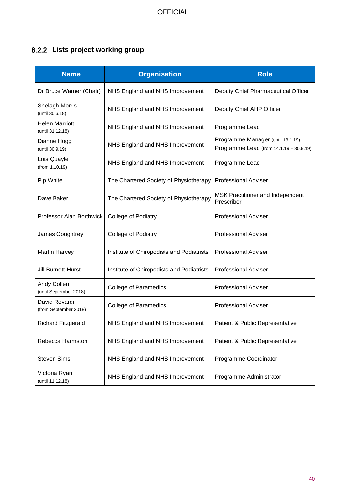### <span id="page-39-0"></span>**Lists project working group**

| <b>Name</b>                               | <b>Organisation</b>                       | <b>Role</b>                                                                  |
|-------------------------------------------|-------------------------------------------|------------------------------------------------------------------------------|
| Dr Bruce Warner (Chair)                   | NHS England and NHS Improvement           | Deputy Chief Pharmaceutical Officer                                          |
| Shelagh Morris<br>(until 30.6.18)         | NHS England and NHS Improvement           | Deputy Chief AHP Officer                                                     |
| <b>Helen Marriott</b><br>(until 31.12.18) | NHS England and NHS Improvement           | Programme Lead                                                               |
| Dianne Hogg<br>(until 30.9.19)            | NHS England and NHS Improvement           | Programme Manager (until 13.1.19)<br>Programme Lead (from 14.1.19 - 30.9.19) |
| Lois Quayle<br>(from 1.10.19)             | NHS England and NHS Improvement           | Programme Lead                                                               |
| Pip White                                 | The Chartered Society of Physiotherapy    | <b>Professional Adviser</b>                                                  |
| Dave Baker                                | The Chartered Society of Physiotherapy    | MSK Practitioner and Independent<br>Prescriber                               |
| Professor Alan Borthwick                  | College of Podiatry                       | <b>Professional Adviser</b>                                                  |
| James Coughtrey                           | College of Podiatry                       | <b>Professional Adviser</b>                                                  |
| <b>Martin Harvey</b>                      | Institute of Chiropodists and Podiatrists | <b>Professional Adviser</b>                                                  |
| Jill Burnett-Hurst                        | Institute of Chiropodists and Podiatrists | <b>Professional Adviser</b>                                                  |
| Andy Collen<br>(until September 2018)     | <b>College of Paramedics</b>              | <b>Professional Adviser</b>                                                  |
| David Rovardi<br>(from September 2018)    | <b>College of Paramedics</b>              | <b>Professional Adviser</b>                                                  |
| <b>Richard Fitzgerald</b>                 | NHS England and NHS Improvement           | Patient & Public Representative                                              |
| Rebecca Harmston                          | NHS England and NHS Improvement           | Patient & Public Representative                                              |
| <b>Steven Sims</b>                        | NHS England and NHS Improvement           | Programme Coordinator                                                        |
| Victoria Ryan<br>(until 11.12.18)         | NHS England and NHS Improvement           | Programme Administrator                                                      |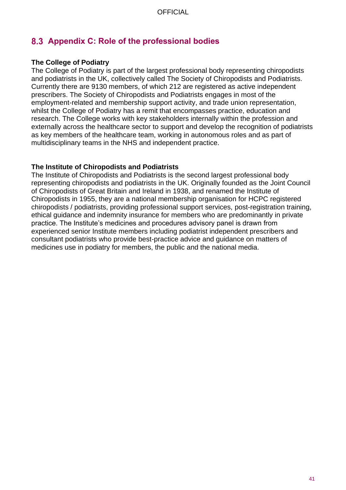### <span id="page-40-0"></span>**Appendix C: Role of the professional bodies**

#### **The College of Podiatry**

The College of Podiatry is part of the largest professional body representing chiropodists and podiatrists in the UK, collectively called The Society of Chiropodists and Podiatrists. Currently there are 9130 members, of which 212 are registered as active independent prescribers. The Society of Chiropodists and Podiatrists engages in most of the employment-related and membership support activity, and trade union representation, whilst the College of Podiatry has a remit that encompasses practice, education and research. The College works with key stakeholders internally within the profession and externally across the healthcare sector to support and develop the recognition of podiatrists as key members of the healthcare team, working in autonomous roles and as part of multidisciplinary teams in the NHS and independent practice.

#### **The Institute of Chiropodists and Podiatrists**

The Institute of Chiropodists and Podiatrists is the second largest professional body representing chiropodists and podiatrists in the UK. Originally founded as the Joint Council of Chiropodists of Great Britain and Ireland in 1938, and renamed the Institute of Chiropodists in 1955, they are a national membership organisation for HCPC registered chiropodists / podiatrists, providing professional support services, post-registration training, ethical guidance and indemnity insurance for members who are predominantly in private practice. The Institute's medicines and procedures advisory panel is drawn from experienced senior Institute members including podiatrist independent prescribers and consultant podiatrists who provide best-practice advice and guidance on matters of medicines use in podiatry for members, the public and the national media.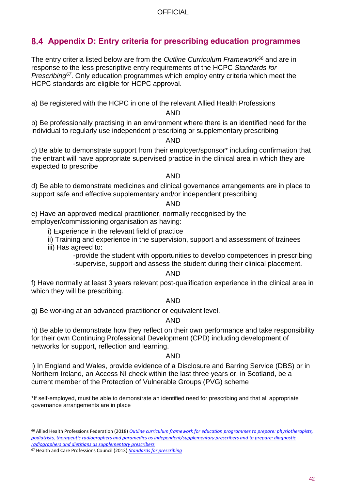### <span id="page-41-0"></span>**Appendix D: Entry criteria for prescribing education programmes**

The entry criteria listed below are from the *Outline Curriculum Framework<sup>66</sup>* and are in response to the less prescriptive entry requirements of the HCPC *Standards for Prescribing<sup>67</sup>*. Only education programmes which employ entry criteria which meet the HCPC standards are eligible for HCPC approval.

a) Be registered with the HCPC in one of the relevant Allied Health Professions

#### AND

b) Be professionally practising in an environment where there is an identified need for the individual to regularly use independent prescribing or supplementary prescribing

#### AND

c) Be able to demonstrate support from their employer/sponsor\* including confirmation that the entrant will have appropriate supervised practice in the clinical area in which they are expected to prescribe

### AND

d) Be able to demonstrate medicines and clinical governance arrangements are in place to support safe and effective supplementary and/or independent prescribing

#### AND

e) Have an approved medical practitioner, normally recognised by the employer/commissioning organisation as having:

i) Experience in the relevant field of practice

ii) Training and experience in the supervision, support and assessment of trainees

iii) Has agreed to:

-provide the student with opportunities to develop competences in prescribing -supervise, support and assess the student during their clinical placement.

#### AND

f) Have normally at least 3 years relevant post-qualification experience in the clinical area in which they will be prescribing.

### AND

g) Be working at an advanced practitioner or equivalent level.

### AND

h) Be able to demonstrate how they reflect on their own performance and take responsibility for their own Continuing Professional Development (CPD) including development of networks for support, reflection and learning.

#### <span id="page-41-1"></span>AND

i) In England and Wales, provide evidence of a Disclosure and Barring Service (DBS) or in Northern Ireland, an Access NI check within the last three years or, in Scotland, be a current member of the Protection of Vulnerable Groups (PVG) scheme

\*If self-employed, must be able to demonstrate an identified need for prescribing and that all appropriate governance arrangements are in place

<sup>66</sup> Allied Health Professions Federation (2018) *[Outline curriculum framework for education programmes to prepare: physiotherapists,](http://www.ahpf.org.uk/files/Joint%20OCF%202018%20update%20College%20of%20Paramedics%20March18%20minor%20error%20corrected.pdf)  podiatrists, therapeutic radiographers and paramedics [as independent/supplementary prescribers and to prepare: diagnostic](http://www.ahpf.org.uk/files/Joint%20OCF%202018%20update%20College%20of%20Paramedics%20March18%20minor%20error%20corrected.pdf)  [radiographers and dietitians as supplementary prescribers](http://www.ahpf.org.uk/files/Joint%20OCF%202018%20update%20College%20of%20Paramedics%20March18%20minor%20error%20corrected.pdf)*

<sup>67</sup> Health and Care Professions Council (2013) *[Standards for prescribing](https://www.hcpc-uk.org/resources/standards/standards-for-prescribing/)*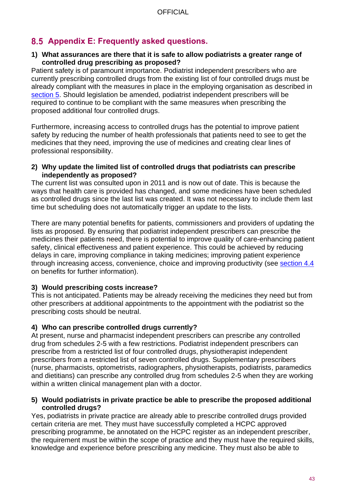### <span id="page-42-0"></span>**Appendix E: Frequently asked questions.**

#### **1) What assurances are there that it is safe to allow podiatrists a greater range of controlled drug prescribing as proposed?**

Patient safety is of paramount importance. Podiatrist independent prescribers who are currently prescribing controlled drugs from the existing list of four controlled drugs must be already compliant with the measures in place in the employing organisation as described in [section 5.](#page-26-1) Should legislation be amended, podiatrist independent prescribers will be required to continue to be compliant with the same measures when prescribing the proposed additional four controlled drugs.

Furthermore, increasing access to controlled drugs has the potential to improve patient safety by reducing the number of health professionals that patients need to see to get the medicines that they need, improving the use of medicines and creating clear lines of professional responsibility.

#### **2) Why update the limited list of controlled drugs that podiatrists can prescribe independently as proposed?**

The current list was consulted upon in 2011 and is now out of date. This is because the ways that health care is provided has changed, and some medicines have been scheduled as controlled drugs since the last list was created. It was not necessary to include them last time but scheduling does not automatically trigger an update to the lists.

There are many potential benefits for patients, commissioners and providers of updating the lists as proposed. By ensuring that podiatrist independent prescribers can prescribe the medicines their patients need, there is potential to improve quality of care-enhancing patient safety, clinical effectiveness and patient experience. This could be achieved by reducing delays in care, improving compliance in taking medicines; improving patient experience through increasing access, convenience, choice and improving productivity (see [section 4.4](#page-19-1) on benefits for further information).

### **3) Would prescribing costs increase?**

This is not anticipated. Patients may be already receiving the medicines they need but from other prescribers at additional appointments to the appointment with the podiatrist so the prescribing costs should be neutral.

### **4) Who can prescribe controlled drugs currently?**

At present, nurse and pharmacist independent prescribers can prescribe any controlled drug from schedules 2-5 with a few restrictions. Podiatrist independent prescribers can prescribe from a restricted list of four controlled drugs, physiotherapist independent prescribers from a restricted list of seven controlled drugs. Supplementary prescribers (nurse, pharmacists, optometrists, radiographers, physiotherapists, podiatrists, paramedics and dietitians) can prescribe any controlled drug from schedules 2-5 when they are working within a written clinical management plan with a doctor.

#### **5) Would podiatrists in private practice be able to prescribe the proposed additional controlled drugs?**

Yes, podiatrists in private practice are already able to prescribe controlled drugs provided certain criteria are met. They must have successfully completed a HCPC approved prescribing programme, be annotated on the HCPC register as an independent prescriber, the requirement must be within the scope of practice and they must have the required skills, knowledge and experience before prescribing any medicine. They must also be able to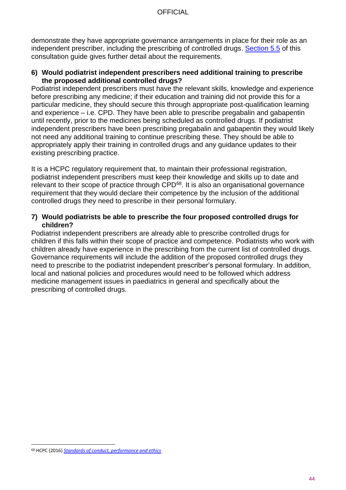demonstrate they have appropriate governance arrangements in place for their role as an independent prescriber, including the prescribing of controlled drugs. [Section 5.5](#page-30-0) of this consultation guide gives further detail about the requirements.

#### **6) Would podiatrist independent prescribers need additional training to prescribe the proposed additional controlled drugs?**

Podiatrist independent prescribers must have the relevant skills, knowledge and experience before prescribing any medicine; if their education and training did not provide this for a particular medicine, they should secure this through appropriate post-qualification learning and experience – i.e. CPD. They have been able to prescribe pregabalin and gabapentin until recently, prior to the medicines being scheduled as controlled drugs. If podiatrist independent prescribers have been prescribing pregabalin and gabapentin they would likely not need any additional training to continue prescribing these. They should be able to appropriately apply their training in controlled drugs and any guidance updates to their existing prescribing practice.

It is a HCPC regulatory requirement that, to maintain their professional registration, podiatrist independent prescribers must keep their knowledge and skills up to date and relevant to their scope of practice through CPD<sup>68</sup>. It is also an organisational governance requirement that they would declare their competence by the inclusion of the additional controlled drugs they need to prescribe in their personal formulary.

#### **7) Would podiatrists be able to prescribe the four proposed controlled drugs for children?**

Podiatrist independent prescribers are already able to prescribe controlled drugs for children if this falls within their scope of practice and competence. Podiatrists who work with children already have experience in the prescribing from the current list of controlled drugs. Governance requirements will include the addition of the proposed controlled drugs they need to prescribe to the podiatrist independent prescriber's personal formulary. In addition, local and national policies and procedures would need to be followed which address medicine management issues in paediatrics in general and specifically about the prescribing of controlled drugs.

<sup>68</sup> HCPC (2016) *[Standards of conduct, performance and ethics](http://www.hcpc-uk.org/publications/standards/index.asp?id=38)*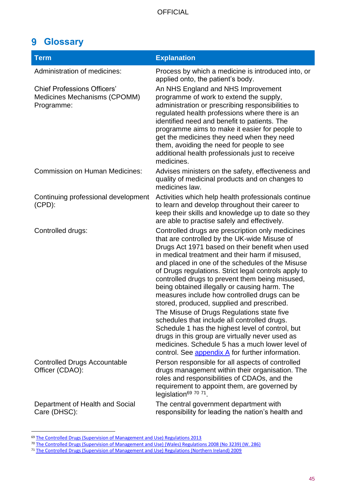### <span id="page-44-0"></span>**Glossary**

| <b>Term</b>                                                                      | <b>Explanation</b>                                                                                                                                                                                                                                                                                                                                                                                                                                                                                                                                                                                                                                                                                                                                                                                                               |
|----------------------------------------------------------------------------------|----------------------------------------------------------------------------------------------------------------------------------------------------------------------------------------------------------------------------------------------------------------------------------------------------------------------------------------------------------------------------------------------------------------------------------------------------------------------------------------------------------------------------------------------------------------------------------------------------------------------------------------------------------------------------------------------------------------------------------------------------------------------------------------------------------------------------------|
| Administration of medicines:                                                     | Process by which a medicine is introduced into, or<br>applied onto, the patient's body.                                                                                                                                                                                                                                                                                                                                                                                                                                                                                                                                                                                                                                                                                                                                          |
| <b>Chief Professions Officers'</b><br>Medicines Mechanisms (CPOMM)<br>Programme: | An NHS England and NHS Improvement<br>programme of work to extend the supply,<br>administration or prescribing responsibilities to<br>regulated health professions where there is an<br>identified need and benefit to patients. The<br>programme aims to make it easier for people to<br>get the medicines they need when they need<br>them, avoiding the need for people to see<br>additional health professionals just to receive<br>medicines.                                                                                                                                                                                                                                                                                                                                                                               |
| <b>Commission on Human Medicines:</b>                                            | Advises ministers on the safety, effectiveness and<br>quality of medicinal products and on changes to<br>medicines law.                                                                                                                                                                                                                                                                                                                                                                                                                                                                                                                                                                                                                                                                                                          |
| Continuing professional development<br>$(CPD)$ :                                 | Activities which help health professionals continue<br>to learn and develop throughout their career to<br>keep their skills and knowledge up to date so they<br>are able to practise safely and effectively.                                                                                                                                                                                                                                                                                                                                                                                                                                                                                                                                                                                                                     |
| Controlled drugs:                                                                | Controlled drugs are prescription only medicines<br>that are controlled by the UK-wide Misuse of<br>Drugs Act 1971 based on their benefit when used<br>in medical treatment and their harm if misused,<br>and placed in one of the schedules of the Misuse<br>of Drugs regulations. Strict legal controls apply to<br>controlled drugs to prevent them being misused,<br>being obtained illegally or causing harm. The<br>measures include how controlled drugs can be<br>stored, produced, supplied and prescribed.<br>The Misuse of Drugs Regulations state five<br>schedules that include all controlled drugs.<br>Schedule 1 has the highest level of control, but<br>drugs in this group are virtually never used as<br>medicines. Schedule 5 has a much lower level of<br>control. See appendix A for further information. |
| <b>Controlled Drugs Accountable</b><br>Officer (CDAO):                           | Person responsible for all aspects of controlled<br>drugs management within their organisation. The<br>roles and responsibilities of CDAOs, and the<br>requirement to appoint them, are governed by<br>legislation <sup>69</sup> 70 71.                                                                                                                                                                                                                                                                                                                                                                                                                                                                                                                                                                                          |
| Department of Health and Social<br>Care (DHSC):                                  | The central government department with<br>responsibility for leading the nation's health and                                                                                                                                                                                                                                                                                                                                                                                                                                                                                                                                                                                                                                                                                                                                     |

<sup>&</sup>lt;sup>69</sup> [The Controlled Drugs \(Supervision of Management and Use\) Regulations 2013](http://www.legislation.gov.uk/uksi/2013/373/regulation/11/made)

<sup>70</sup> The Controlled Drugs (Supervision [of Management and Use\) \(Wales\) Regulations 2008 \(No 3239\) \(W. 286\)](http://www.legislation.gov.uk/wsi/2008/3239/contents/made) 

<sup>71</sup> [The Controlled Drugs \(Supervision of Management and Use\) Regulations \(Northern Ireland\) 2009](http://www.legislation.gov.uk/nisr/2009/225/contents/made)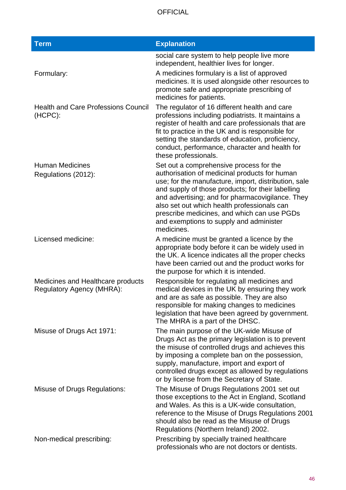| <b>Term</b>                                                    | <b>Explanation</b>                                                                                                                                                                                                                                                                                                                                                                                               |
|----------------------------------------------------------------|------------------------------------------------------------------------------------------------------------------------------------------------------------------------------------------------------------------------------------------------------------------------------------------------------------------------------------------------------------------------------------------------------------------|
|                                                                | social care system to help people live more<br>independent, healthier lives for longer.                                                                                                                                                                                                                                                                                                                          |
| Formulary:                                                     | A medicines formulary is a list of approved<br>medicines. It is used alongside other resources to<br>promote safe and appropriate prescribing of<br>medicines for patients.                                                                                                                                                                                                                                      |
| <b>Health and Care Professions Council</b><br>(HCPC):          | The regulator of 16 different health and care<br>professions including podiatrists. It maintains a<br>register of health and care professionals that are<br>fit to practice in the UK and is responsible for<br>setting the standards of education, proficiency,<br>conduct, performance, character and health for<br>these professionals.                                                                       |
| <b>Human Medicines</b><br>Regulations (2012):                  | Set out a comprehensive process for the<br>authorisation of medicinal products for human<br>use; for the manufacture, import, distribution, sale<br>and supply of those products; for their labelling<br>and advertising; and for pharmacovigilance. They<br>also set out which health professionals can<br>prescribe medicines, and which can use PGDs<br>and exemptions to supply and administer<br>medicines. |
| Licensed medicine:                                             | A medicine must be granted a licence by the<br>appropriate body before it can be widely used in<br>the UK. A licence indicates all the proper checks<br>have been carried out and the product works for<br>the purpose for which it is intended.                                                                                                                                                                 |
| Medicines and Healthcare products<br>Regulatory Agency (MHRA): | Responsible for regulating all medicines and<br>medical devices in the UK by ensuring they work<br>and are as safe as possible. They are also<br>responsible for making changes to medicines<br>legislation that have been agreed by government.<br>The MHRA is a part of the DHSC.                                                                                                                              |
| Misuse of Drugs Act 1971:                                      | The main purpose of the UK-wide Misuse of<br>Drugs Act as the primary legislation is to prevent<br>the misuse of controlled drugs and achieves this<br>by imposing a complete ban on the possession,<br>supply, manufacture, import and export of<br>controlled drugs except as allowed by regulations<br>or by license from the Secretary of State.                                                             |
| <b>Misuse of Drugs Regulations:</b>                            | The Misuse of Drugs Regulations 2001 set out<br>those exceptions to the Act in England, Scotland<br>and Wales. As this is a UK-wide consultation,<br>reference to the Misuse of Drugs Regulations 2001<br>should also be read as the Misuse of Drugs<br>Regulations (Northern Ireland) 2002.                                                                                                                     |
| Non-medical prescribing:                                       | Prescribing by specially trained healthcare<br>professionals who are not doctors or dentists.                                                                                                                                                                                                                                                                                                                    |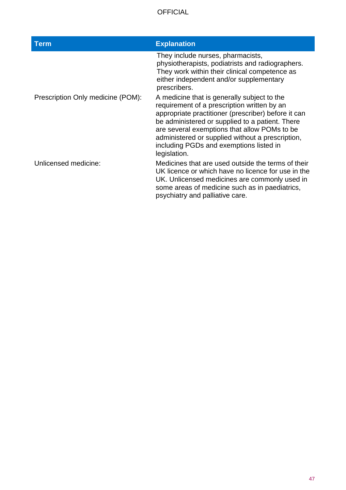| <b>Term</b>                       | <b>Explanation</b>                                                                                                                                                                                                                                                                                                                                                  |
|-----------------------------------|---------------------------------------------------------------------------------------------------------------------------------------------------------------------------------------------------------------------------------------------------------------------------------------------------------------------------------------------------------------------|
|                                   | They include nurses, pharmacists,<br>physiotherapists, podiatrists and radiographers.<br>They work within their clinical competence as<br>either independent and/or supplementary<br>prescribers.                                                                                                                                                                   |
| Prescription Only medicine (POM): | A medicine that is generally subject to the<br>requirement of a prescription written by an<br>appropriate practitioner (prescriber) before it can<br>be administered or supplied to a patient. There<br>are several exemptions that allow POMs to be<br>administered or supplied without a prescription,<br>including PGDs and exemptions listed in<br>legislation. |
| Unlicensed medicine:              | Medicines that are used outside the terms of their<br>UK licence or which have no licence for use in the<br>UK. Unlicensed medicines are commonly used in<br>some areas of medicine such as in paediatrics,<br>psychiatry and palliative care.                                                                                                                      |